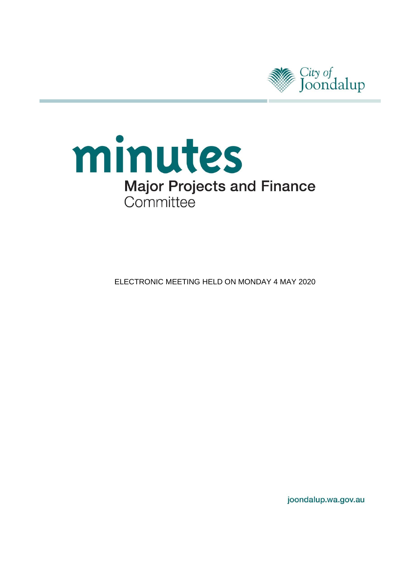

# minutes **Major Projects and Finance** Committee

**ELECTRONIC MEETING HELD ON MONDAY 4 MAY 2020** 

joondalup.wa.gov.au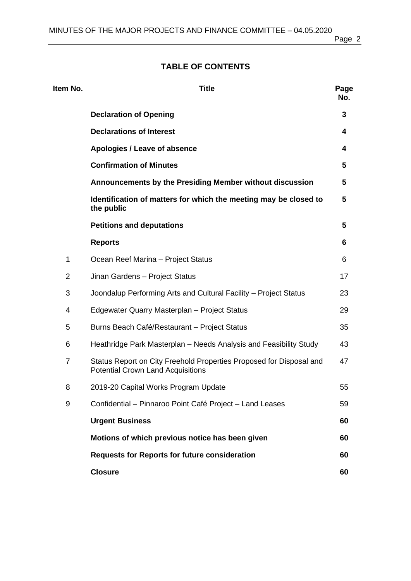Page 2

# **TABLE OF CONTENTS**

| Item No.       | <b>Title</b>                                                                                                    | Page<br>No. |
|----------------|-----------------------------------------------------------------------------------------------------------------|-------------|
|                | <b>Declaration of Opening</b>                                                                                   | 3           |
|                | <b>Declarations of Interest</b>                                                                                 | 4           |
|                | Apologies / Leave of absence                                                                                    | 4           |
|                | <b>Confirmation of Minutes</b>                                                                                  | 5           |
|                | Announcements by the Presiding Member without discussion                                                        | 5           |
|                | Identification of matters for which the meeting may be closed to<br>the public                                  | 5           |
|                | <b>Petitions and deputations</b>                                                                                | 5           |
|                | <b>Reports</b>                                                                                                  | 6           |
| 1              | Ocean Reef Marina - Project Status                                                                              | 6           |
| $\overline{2}$ | Jinan Gardens - Project Status                                                                                  | 17          |
| 3              | Joondalup Performing Arts and Cultural Facility - Project Status                                                | 23          |
| 4              | Edgewater Quarry Masterplan - Project Status                                                                    | 29          |
| 5              | Burns Beach Café/Restaurant - Project Status                                                                    | 35          |
| 6              | Heathridge Park Masterplan – Needs Analysis and Feasibility Study                                               | 43          |
| $\overline{7}$ | Status Report on City Freehold Properties Proposed for Disposal and<br><b>Potential Crown Land Acquisitions</b> | 47          |
| 8              | 2019-20 Capital Works Program Update                                                                            | 55          |
| 9              | Confidential - Pinnaroo Point Café Project - Land Leases                                                        | 59          |
|                | <b>Urgent Business</b>                                                                                          | 60          |
|                | Motions of which previous notice has been given                                                                 | 60          |
|                | <b>Requests for Reports for future consideration</b>                                                            | 60          |
|                | <b>Closure</b>                                                                                                  | 60          |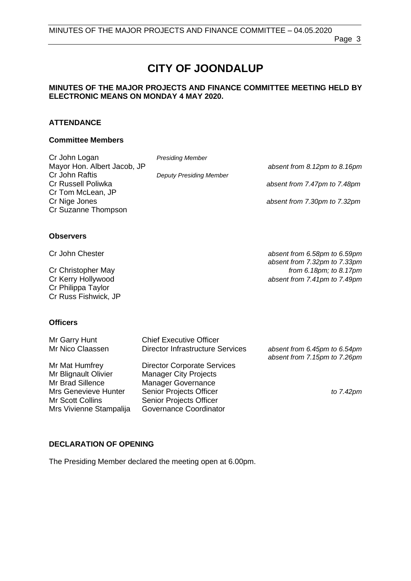Page 3

# **CITY OF JOONDALUP**

#### **MINUTES OF THE MAJOR PROJECTS AND FINANCE COMMITTEE MEETING HELD BY ELECTRONIC MEANS ON MONDAY 4 MAY 2020.**

#### **ATTENDANCE**

#### **Committee Members**

| Cr John Logan               | <b>Presiding Member</b>        |                                             |
|-----------------------------|--------------------------------|---------------------------------------------|
| Mayor Hon. Albert Jacob, JP |                                | absent from 8.12pm to 8.16pm                |
| Cr John Raftis              | <b>Deputy Presiding Member</b> |                                             |
| Cr Russell Poliwka          |                                | absent from 7.47pm to 7.48pm                |
| Cr Tom McLean, JP           |                                |                                             |
| Cr Nige Jones               |                                | absent from 7.30pm to 7.32pm                |
| Cr Suzanne Thompson         |                                |                                             |
|                             |                                |                                             |
| <b>Observers</b>            |                                |                                             |
| Cr John Chester             |                                | absent from 6.58pm to 6.59pm                |
|                             |                                | absent from 7.32pm to 7.33pm                |
| Cr Christopher May          |                                | from $6.18 \text{pm}$ ; to $8.17 \text{pm}$ |
| Cr Kerry Hollywood          |                                | absent from 7.41pm to 7.49pm                |
| Cr Philippa Taylor          |                                |                                             |
| Cr Russ Fishwick, JP        |                                |                                             |
|                             |                                |                                             |

## **Officers**

| Mr Garry Hunt               | <b>Chief Executive Officer</b>          |                                                              |
|-----------------------------|-----------------------------------------|--------------------------------------------------------------|
| Mr Nico Claassen            | <b>Director Infrastructure Services</b> | absent from 6.45pm to 6.54pm<br>absent from 7.15pm to 7.26pm |
| Mr Mat Humfrey              | <b>Director Corporate Services</b>      |                                                              |
| Mr Blignault Olivier        | <b>Manager City Projects</b>            |                                                              |
| Mr Brad Sillence            | <b>Manager Governance</b>               |                                                              |
| <b>Mrs Genevieve Hunter</b> | Senior Projects Officer                 | to 7.42pm                                                    |
| Mr Scott Collins            | Senior Projects Officer                 |                                                              |
| Mrs Vivienne Stampalija     | Governance Coordinator                  |                                                              |

#### <span id="page-2-0"></span>**DECLARATION OF OPENING**

The Presiding Member declared the meeting open at 6.00pm.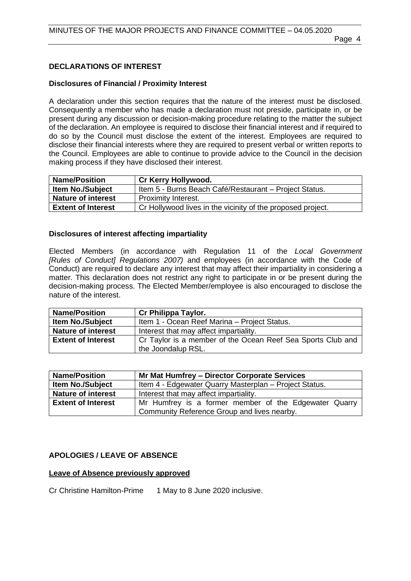#### <span id="page-3-0"></span>**DECLARATIONS OF INTEREST**

#### **Disclosures of Financial / Proximity Interest**

A declaration under this section requires that the nature of the interest must be disclosed. Consequently a member who has made a declaration must not preside, participate in, or be present during any discussion or decision-making procedure relating to the matter the subject of the declaration. An employee is required to disclose their financial interest and if required to do so by the Council must disclose the extent of the interest. Employees are required to disclose their financial interests where they are required to present verbal or written reports to the Council. Employees are able to continue to provide advice to the Council in the decision making process if they have disclosed their interest.

| <b>Name/Position</b>      | <b>Cr Kerry Hollywood.</b>                                  |
|---------------------------|-------------------------------------------------------------|
| <b>Item No./Subject</b>   | Item 5 - Burns Beach Café/Restaurant – Project Status.      |
| <b>Nature of interest</b> | <b>Proximity Interest.</b>                                  |
| <b>Extent of Interest</b> | Cr Hollywood lives in the vicinity of the proposed project. |

#### **Disclosures of interest affecting impartiality**

Elected Members (in accordance with Regulation 11 of the *Local Government [Rules of Conduct] Regulations 2007)* and employees (in accordance with the Code of Conduct) are required to declare any interest that may affect their impartiality in considering a matter. This declaration does not restrict any right to participate in or be present during the decision-making process. The Elected Member/employee is also encouraged to disclose the nature of the interest.

| <b>Name/Position</b>      | <b>Cr Philippa Taylor.</b>                                  |
|---------------------------|-------------------------------------------------------------|
| <b>Item No./Subject</b>   | Item 1 - Ocean Reef Marina - Project Status.                |
| <b>Nature of interest</b> | Interest that may affect impartiality.                      |
| <b>Extent of Interest</b> | Cr Taylor is a member of the Ocean Reef Sea Sports Club and |
|                           | the Joondalup RSL.                                          |

| <b>Name/Position</b>      | Mr Mat Humfrey - Director Corporate Services           |  |
|---------------------------|--------------------------------------------------------|--|
| <b>Item No./Subject</b>   | Item 4 - Edgewater Quarry Masterplan – Project Status. |  |
| <b>Nature of interest</b> | Interest that may affect impartiality.                 |  |
| <b>Extent of Interest</b> | Mr Humfrey is a former member of the Edgewater Quarry  |  |
|                           | Community Reference Group and lives nearby.            |  |

#### <span id="page-3-1"></span>**APOLOGIES / LEAVE OF ABSENCE**

#### **Leave of Absence previously approved**

Cr Christine Hamilton-Prime 1 May to 8 June 2020 inclusive.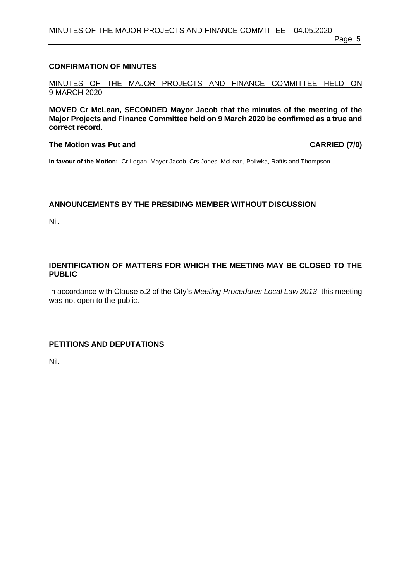#### <span id="page-4-0"></span>**CONFIRMATION OF MINUTES**

MINUTES OF THE MAJOR PROJECTS AND FINANCE COMMITTEE HELD ON 9 MARCH 2020

**MOVED Cr McLean, SECONDED Mayor Jacob that the minutes of the meeting of the Major Projects and Finance Committee held on 9 March 2020 be confirmed as a true and correct record.**

#### The Motion was Put and **CARRIED** (7/0)

**In favour of the Motion:** Cr Logan, Mayor Jacob, Crs Jones, McLean, Poliwka, Raftis and Thompson.

#### <span id="page-4-1"></span>**ANNOUNCEMENTS BY THE PRESIDING MEMBER WITHOUT DISCUSSION**

Nil.

#### <span id="page-4-2"></span>**IDENTIFICATION OF MATTERS FOR WHICH THE MEETING MAY BE CLOSED TO THE PUBLIC**

In accordance with Clause 5.2 of the City's *Meeting Procedures Local Law 2013*, this meeting was not open to the public.

### <span id="page-4-3"></span>**PETITIONS AND DEPUTATIONS**

Nil.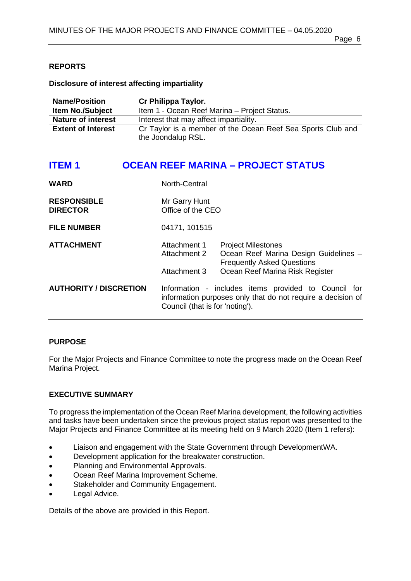# <span id="page-5-0"></span>**REPORTS**

# **Disclosure of interest affecting impartiality**

| <b>Name/Position</b>      | <b>Cr Philippa Taylor.</b>                                  |
|---------------------------|-------------------------------------------------------------|
| <b>Item No./Subject</b>   | Item 1 - Ocean Reef Marina - Project Status.                |
| <b>Nature of interest</b> | Interest that may affect impartiality.                      |
| <b>Extent of Interest</b> | Cr Taylor is a member of the Ocean Reef Sea Sports Club and |
|                           | the Joondalup RSL.                                          |

# <span id="page-5-1"></span>**ITEM 1 OCEAN REEF MARINA – PROJECT STATUS**

| <b>WARD</b>                           | North-Central                                |                                                                                                                                            |
|---------------------------------------|----------------------------------------------|--------------------------------------------------------------------------------------------------------------------------------------------|
| <b>RESPONSIBLE</b><br><b>DIRECTOR</b> | Mr Garry Hunt<br>Office of the CEO           |                                                                                                                                            |
| <b>FILE NUMBER</b>                    | 04171, 101515                                |                                                                                                                                            |
| <b>ATTACHMENT</b>                     | Attachment 1<br>Attachment 2<br>Attachment 3 | <b>Project Milestones</b><br>Ocean Reef Marina Design Guidelines -<br><b>Frequently Asked Questions</b><br>Ocean Reef Marina Risk Register |
| <b>AUTHORITY / DISCRETION</b>         | Council (that is for 'noting').              | Information - includes items provided to Council for<br>information purposes only that do not require a decision of                        |

# **PURPOSE**

For the Major Projects and Finance Committee to note the progress made on the Ocean Reef Marina Project.

# **EXECUTIVE SUMMARY**

To progress the implementation of the Ocean Reef Marina development, the following activities and tasks have been undertaken since the previous project status report was presented to the Major Projects and Finance Committee at its meeting held on 9 March 2020 (Item 1 refers):

- Liaison and engagement with the State Government through DevelopmentWA.
- Development application for the breakwater construction.
- Planning and Environmental Approvals.
- Ocean Reef Marina Improvement Scheme.
- Stakeholder and Community Engagement.
- Legal Advice.

Details of the above are provided in this Report.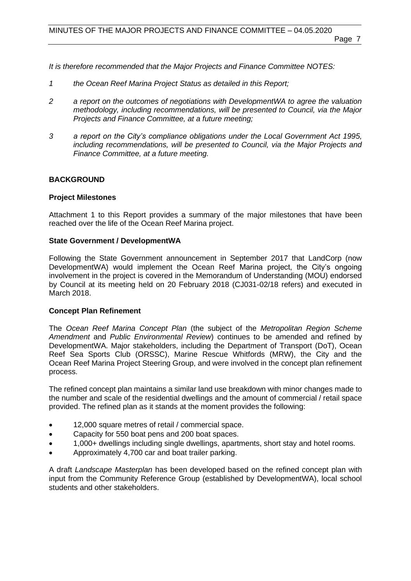*It is therefore recommended that the Major Projects and Finance Committee NOTES:*

- *1 the Ocean Reef Marina Project Status as detailed in this Report;*
- *2 a report on the outcomes of negotiations with DevelopmentWA to agree the valuation methodology, including recommendations, will be presented to Council, via the Major Projects and Finance Committee, at a future meeting;*
- *3 a report on the City's compliance obligations under the Local Government Act 1995, including recommendations, will be presented to Council, via the Major Projects and Finance Committee, at a future meeting.*

#### **BACKGROUND**

#### **Project Milestones**

Attachment 1 to this Report provides a summary of the major milestones that have been reached over the life of the Ocean Reef Marina project.

#### **State Government / DevelopmentWA**

Following the State Government announcement in September 2017 that LandCorp (now DevelopmentWA) would implement the Ocean Reef Marina project, the City's ongoing involvement in the project is covered in the Memorandum of Understanding (MOU) endorsed by Council at its meeting held on 20 February 2018 (CJ031-02/18 refers) and executed in March 2018.

#### **Concept Plan Refinement**

The *Ocean Reef Marina Concept Plan* (the subject of the *Metropolitan Region Scheme Amendment* and *Public Environmental Review*) continues to be amended and refined by DevelopmentWA. Major stakeholders, including the Department of Transport (DoT), Ocean Reef Sea Sports Club (ORSSC), Marine Rescue Whitfords (MRW), the City and the Ocean Reef Marina Project Steering Group, and were involved in the concept plan refinement process.

The refined concept plan maintains a similar land use breakdown with minor changes made to the number and scale of the residential dwellings and the amount of commercial / retail space provided. The refined plan as it stands at the moment provides the following:

- 12,000 square metres of retail / commercial space.
- Capacity for 550 boat pens and 200 boat spaces.
- 1,000+ dwellings including single dwellings, apartments, short stay and hotel rooms.
- Approximately 4,700 car and boat trailer parking.

A draft *Landscape Masterplan* has been developed based on the refined concept plan with input from the Community Reference Group (established by DevelopmentWA), local school students and other stakeholders.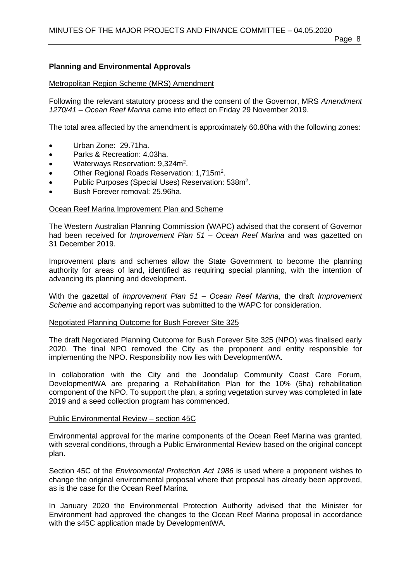#### **Planning and Environmental Approvals**

#### Metropolitan Region Scheme (MRS) Amendment

Following the relevant statutory process and the consent of the Governor, MRS *Amendment 1270/41 – Ocean Reef Marina* came into effect on Friday 29 November 2019.

The total area affected by the amendment is approximately 60.80ha with the following zones:

- Urban Zone: 29.71ha.
- Parks & Recreation: 4.03ha.
- Waterways Reservation: 9,324m<sup>2</sup>.
- Other Regional Roads Reservation: 1,715m<sup>2</sup>.
- Public Purposes (Special Uses) Reservation: 538m<sup>2</sup>.
- Bush Forever removal: 25.96ha.

#### Ocean Reef Marina Improvement Plan and Scheme

The Western Australian Planning Commission (WAPC) advised that the consent of Governor had been received for *Improvement Plan 51 – Ocean Reef Marina* and was gazetted on 31 December 2019.

Improvement plans and schemes allow the State Government to become the planning authority for areas of land, identified as requiring special planning, with the intention of advancing its planning and development.

With the gazettal of *Improvement Plan 51 – Ocean Reef Marina*, the draft *Improvement Scheme* and accompanying report was submitted to the WAPC for consideration.

#### Negotiated Planning Outcome for Bush Forever Site 325

The draft Negotiated Planning Outcome for Bush Forever Site 325 (NPO) was finalised early 2020. The final NPO removed the City as the proponent and entity responsible for implementing the NPO. Responsibility now lies with DevelopmentWA.

In collaboration with the City and the Joondalup Community Coast Care Forum, DevelopmentWA are preparing a Rehabilitation Plan for the 10% (5ha) rehabilitation component of the NPO. To support the plan, a spring vegetation survey was completed in late 2019 and a seed collection program has commenced.

#### Public Environmental Review – section 45C

Environmental approval for the marine components of the Ocean Reef Marina was granted, with several conditions, through a Public Environmental Review based on the original concept plan.

Section 45C of the *Environmental Protection Act 1986* is used where a proponent wishes to change the original environmental proposal where that proposal has already been approved, as is the case for the Ocean Reef Marina.

In January 2020 the Environmental Protection Authority advised that the Minister for Environment had approved the changes to the Ocean Reef Marina proposal in accordance with the s45C application made by DevelopmentWA.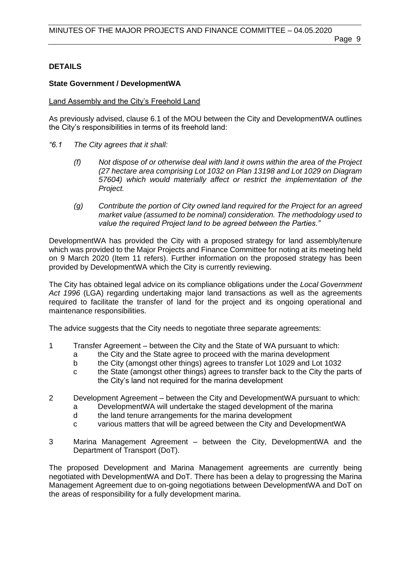# **DETAILS**

# **State Government / DevelopmentWA**

# Land Assembly and the City's Freehold Land

As previously advised, clause 6.1 of the MOU between the City and DevelopmentWA outlines the City's responsibilities in terms of its freehold land:

- *"6.1 The City agrees that it shall:*
	- *(f) Not dispose of or otherwise deal with land it owns within the area of the Project (27 hectare area comprising Lot 1032 on Plan 13198 and Lot 1029 on Diagram 57604) which would materially affect or restrict the implementation of the Project.*
	- *(g) Contribute the portion of City owned land required for the Project for an agreed market value (assumed to be nominal) consideration. The methodology used to value the required Project land to be agreed between the Parties."*

DevelopmentWA has provided the City with a proposed strategy for land assembly/tenure which was provided to the Major Projects and Finance Committee for noting at its meeting held on 9 March 2020 (Item 11 refers). Further information on the proposed strategy has been provided by DevelopmentWA which the City is currently reviewing.

The City has obtained legal advice on its compliance obligations under the *Local Government Act 1996* (LGA) regarding undertaking major land transactions as well as the agreements required to facilitate the transfer of land for the project and its ongoing operational and maintenance responsibilities.

The advice suggests that the City needs to negotiate three separate agreements:

- 1 Transfer Agreement between the City and the State of WA pursuant to which:
	- a the City and the State agree to proceed with the marina development
	- b the City (amongst other things) agrees to transfer Lot 1029 and Lot 1032
	- c the State (amongst other things) agrees to transfer back to the City the parts of the City's land not required for the marina development
- 2 Development Agreement between the City and DevelopmentWA pursuant to which:
	- a DevelopmentWA will undertake the staged development of the marina
	- d the land tenure arrangements for the marina development
	- c various matters that will be agreed between the City and DevelopmentWA
- 3 Marina Management Agreement between the City, DevelopmentWA and the Department of Transport (DoT).

The proposed Development and Marina Management agreements are currently being negotiated with DevelopmentWA and DoT. There has been a delay to progressing the Marina Management Agreement due to on-going negotiations between DevelopmentWA and DoT on the areas of responsibility for a fully development marina.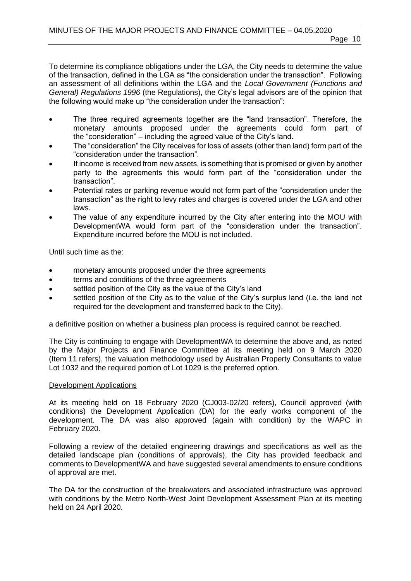To determine its compliance obligations under the LGA, the City needs to determine the value of the transaction, defined in the LGA as "the consideration under the transaction". Following an assessment of all definitions within the LGA and the *Local Government (Functions and General) Regulations 1996* (the Regulations), the City's legal advisors are of the opinion that the following would make up "the consideration under the transaction":

- The three required agreements together are the "land transaction". Therefore, the monetary amounts proposed under the agreements could form part of the "consideration" – including the agreed value of the City's land.
- The "consideration" the City receives for loss of assets (other than land) form part of the "consideration under the transaction".
- If income is received from new assets, is something that is promised or given by another party to the agreements this would form part of the "consideration under the transaction".
- Potential rates or parking revenue would not form part of the "consideration under the transaction" as the right to levy rates and charges is covered under the LGA and other laws.
- The value of any expenditure incurred by the City after entering into the MOU with DevelopmentWA would form part of the "consideration under the transaction". Expenditure incurred before the MOU is not included.

Until such time as the:

- monetary amounts proposed under the three agreements
- terms and conditions of the three agreements
- settled position of the City as the value of the City's land
- settled position of the City as to the value of the City's surplus land (i.e. the land not required for the development and transferred back to the City).

a definitive position on whether a business plan process is required cannot be reached.

The City is continuing to engage with DevelopmentWA to determine the above and, as noted by the Major Projects and Finance Committee at its meeting held on 9 March 2020 (Item 11 refers), the valuation methodology used by Australian Property Consultants to value Lot 1032 and the required portion of Lot 1029 is the preferred option.

#### Development Applications

At its meeting held on 18 February 2020 (CJ003-02/20 refers), Council approved (with conditions) the Development Application (DA) for the early works component of the development. The DA was also approved (again with condition) by the WAPC in February 2020.

Following a review of the detailed engineering drawings and specifications as well as the detailed landscape plan (conditions of approvals), the City has provided feedback and comments to DevelopmentWA and have suggested several amendments to ensure conditions of approval are met.

The DA for the construction of the breakwaters and associated infrastructure was approved with conditions by the Metro North-West Joint Development Assessment Plan at its meeting held on 24 April 2020.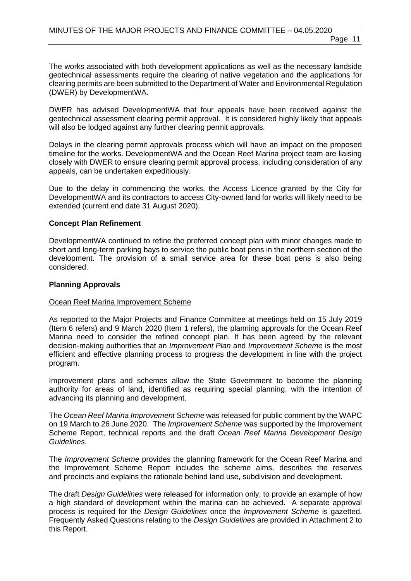The works associated with both development applications as well as the necessary landside geotechnical assessments require the clearing of native vegetation and the applications for clearing permits are been submitted to the Department of Water and Environmental Regulation (DWER) by DevelopmentWA.

DWER has advised DevelopmentWA that four appeals have been received against the geotechnical assessment clearing permit approval. It is considered highly likely that appeals will also be lodged against any further clearing permit approvals.

Delays in the clearing permit approvals process which will have an impact on the proposed timeline for the works. DevelopmentWA and the Ocean Reef Marina project team are liaising closely with DWER to ensure clearing permit approval process, including consideration of any appeals, can be undertaken expeditiously.

Due to the delay in commencing the works, the Access Licence granted by the City for DevelopmentWA and its contractors to access City-owned land for works will likely need to be extended (current end date 31 August 2020).

#### **Concept Plan Refinement**

DevelopmentWA continued to refine the preferred concept plan with minor changes made to short and long-term parking bays to service the public boat pens in the northern section of the development. The provision of a small service area for these boat pens is also being considered.

#### **Planning Approvals**

#### Ocean Reef Marina Improvement Scheme

As reported to the Major Projects and Finance Committee at meetings held on 15 July 2019 (Item 6 refers) and 9 March 2020 (Item 1 refers), the planning approvals for the Ocean Reef Marina need to consider the refined concept plan. It has been agreed by the relevant decision-making authorities that an *Improvement Plan* and *Improvement Scheme* is the most efficient and effective planning process to progress the development in line with the project program.

Improvement plans and schemes allow the State Government to become the planning authority for areas of land, identified as requiring special planning, with the intention of advancing its planning and development.

The *Ocean Reef Marina Improvement Scheme* was released for public comment by the WAPC on 19 March to 26 June 2020. The *Improvement Scheme* was supported by the Improvement Scheme Report, technical reports and the draft *Ocean Reef Marina Development Design Guidelines*.

The *Improvement Scheme* provides the planning framework for the Ocean Reef Marina and the Improvement Scheme Report includes the scheme aims, describes the reserves and precincts and explains the rationale behind land use, subdivision and development.

The draft *Design Guidelines* were released for information only, to provide an example of how a high standard of development within the marina can be achieved. A separate approval process is required for the *Design Guidelines* once the *Improvement Scheme* is gazetted. Frequently Asked Questions relating to the *Design Guidelines* are provided in Attachment 2 to this Report.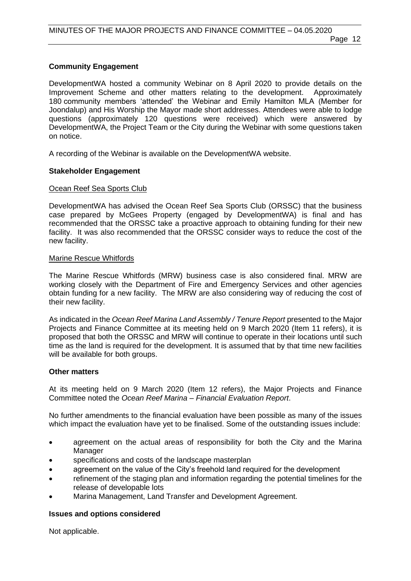# **Community Engagement**

DevelopmentWA hosted a community Webinar on 8 April 2020 to provide details on the Improvement Scheme and other matters relating to the development. Approximately 180 community members 'attended' the Webinar and Emily Hamilton MLA (Member for Joondalup) and His Worship the Mayor made short addresses. Attendees were able to lodge questions (approximately 120 questions were received) which were answered by DevelopmentWA, the Project Team or the City during the Webinar with some questions taken on notice.

A recording of the Webinar is available on the DevelopmentWA website.

#### **Stakeholder Engagement**

#### Ocean Reef Sea Sports Club

DevelopmentWA has advised the Ocean Reef Sea Sports Club (ORSSC) that the business case prepared by McGees Property (engaged by DevelopmentWA) is final and has recommended that the ORSSC take a proactive approach to obtaining funding for their new facility. It was also recommended that the ORSSC consider ways to reduce the cost of the new facility.

#### Marine Rescue Whitfords

The Marine Rescue Whitfords (MRW) business case is also considered final. MRW are working closely with the Department of Fire and Emergency Services and other agencies obtain funding for a new facility. The MRW are also considering way of reducing the cost of their new facility.

As indicated in the *Ocean Reef Marina Land Assembly / Tenure Report* presented to the Major Projects and Finance Committee at its meeting held on 9 March 2020 (Item 11 refers), it is proposed that both the ORSSC and MRW will continue to operate in their locations until such time as the land is required for the development. It is assumed that by that time new facilities will be available for both groups.

#### **Other matters**

At its meeting held on 9 March 2020 (Item 12 refers), the Major Projects and Finance Committee noted the *Ocean Reef Marina – Financial Evaluation Report*.

No further amendments to the financial evaluation have been possible as many of the issues which impact the evaluation have yet to be finalised. Some of the outstanding issues include:

- agreement on the actual areas of responsibility for both the City and the Marina Manager
- specifications and costs of the landscape masterplan
- agreement on the value of the City's freehold land required for the development
- refinement of the staging plan and information regarding the potential timelines for the release of developable lots
- Marina Management, Land Transfer and Development Agreement.

#### **Issues and options considered**

Not applicable.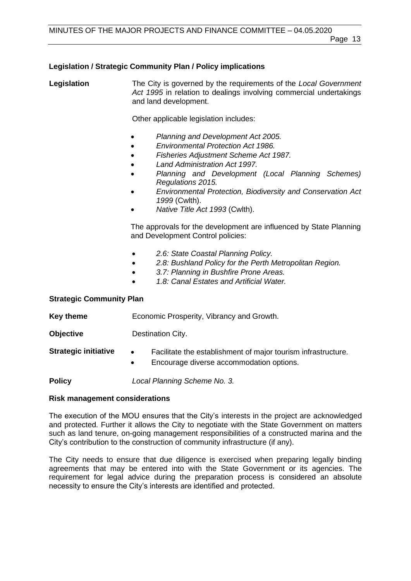#### **Legislation / Strategic Community Plan / Policy implications**

**Legislation** The City is governed by the requirements of the *Local Government Act 1995* in relation to dealings involving commercial undertakings and land development.

Other applicable legislation includes:

- *Planning and Development Act 2005.*
- *Environmental Protection Act 1986.*
- *Fisheries Adjustment Scheme Act 1987.*
- *Land Administration Act 1997.*
- *Planning and Development (Local Planning Schemes) Regulations 2015.*
- *Environmental Protection, Biodiversity and Conservation Act 1999* (Cwlth).
- *Native Title Act 1993* (Cwlth).

The approvals for the development are influenced by State Planning and Development Control policies:

- *2.6: State Coastal Planning Policy.*
- *2.8: Bushland Policy for the Perth Metropolitan Region.*
- *3.7: Planning in Bushfire Prone Areas.*
- *1.8: Canal Estates and Artificial Water.*

#### **Strategic Community Plan**

| Key theme                   | Economic Prosperity, Vibrancy and Growth.                                                                                           |  |
|-----------------------------|-------------------------------------------------------------------------------------------------------------------------------------|--|
| <b>Objective</b>            | Destination City.                                                                                                                   |  |
| <b>Strategic initiative</b> | Facilitate the establishment of major tourism infrastructure.<br>$\bullet$<br>Encourage diverse accommodation options.<br>$\bullet$ |  |
| <b>Policy</b>               | Local Planning Scheme No. 3.                                                                                                        |  |

#### **Risk management considerations**

The execution of the MOU ensures that the City's interests in the project are acknowledged and protected. Further it allows the City to negotiate with the State Government on matters such as land tenure, on-going management responsibilities of a constructed marina and the City's contribution to the construction of community infrastructure (if any).

The City needs to ensure that due diligence is exercised when preparing legally binding agreements that may be entered into with the State Government or its agencies. The requirement for legal advice during the preparation process is considered an absolute necessity to ensure the City's interests are identified and protected.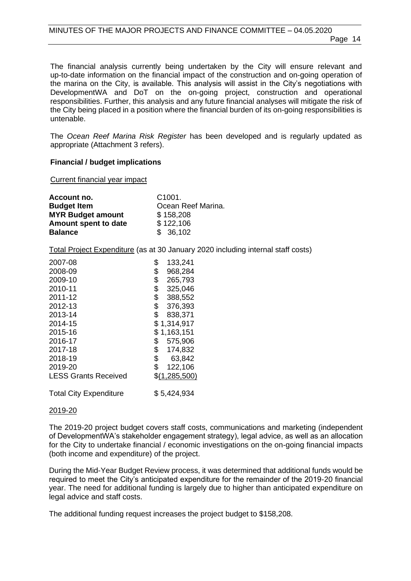The financial analysis currently being undertaken by the City will ensure relevant and up-to-date information on the financial impact of the construction and on-going operation of the marina on the City, is available. This analysis will assist in the City's negotiations with DevelopmentWA and DoT on the on-going project, construction and operational responsibilities. Further, this analysis and any future financial analyses will mitigate the risk of the City being placed in a position where the financial burden of its on-going responsibilities is untenable.

The *Ocean Reef Marina Risk Register* has been developed and is regularly updated as appropriate (Attachment 3 refers).

#### **Financial / budget implications**

Current financial year impact

| Account no.              | C <sub>1001</sub>  |
|--------------------------|--------------------|
| <b>Budget Item</b>       | Ocean Reef Marina. |
| <b>MYR Budget amount</b> | \$158,208          |
| Amount spent to date     | \$122,106          |
| <b>Balance</b>           | \$36,102           |

Total Project Expenditure (as at 30 January 2020 including internal staff costs)

| 2007-08                       | \$<br>133,241 |
|-------------------------------|---------------|
| 2008-09                       | \$<br>968,284 |
| 2009-10                       | \$<br>265,793 |
| 2010-11                       | \$<br>325,046 |
| 2011-12                       | \$<br>388,552 |
| 2012-13                       | \$<br>376,393 |
| 2013-14                       | \$<br>838,371 |
| 2014-15                       | \$1,314,917   |
| 2015-16                       | \$1,163,151   |
| 2016-17                       | \$<br>575,906 |
| 2017-18                       | \$<br>174,832 |
| 2018-19                       | \$<br>63,842  |
| 2019-20                       | \$<br>122,106 |
| <b>LESS Grants Received</b>   | \$(1,285,500) |
| <b>Total City Expenditure</b> | \$5,424,934   |

#### 2019-20

The 2019-20 project budget covers staff costs, communications and marketing (independent of DevelopmentWA's stakeholder engagement strategy), legal advice, as well as an allocation for the City to undertake financial / economic investigations on the on-going financial impacts (both income and expenditure) of the project.

During the Mid-Year Budget Review process, it was determined that additional funds would be required to meet the City's anticipated expenditure for the remainder of the 2019-20 financial year. The need for additional funding is largely due to higher than anticipated expenditure on legal advice and staff costs.

The additional funding request increases the project budget to \$158,208.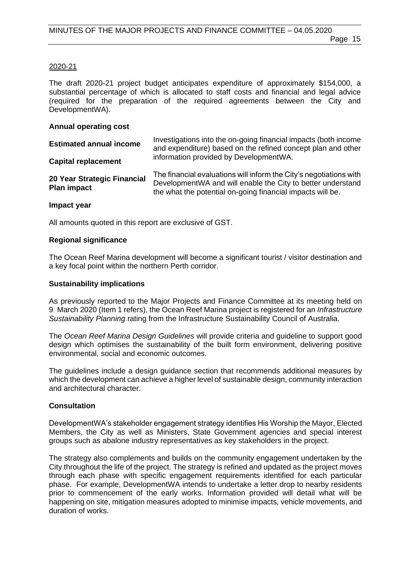#### 2020-21

The draft 2020-21 project budget anticipates expenditure of approximately \$154,000, a substantial percentage of which is allocated to staff costs and financial and legal advice (required for the preparation of the required agreements between the City and DevelopmentWA).

#### **Annual operating cost**

| <b>Estimated annual income</b>                    | Investigations into the on-going financial impacts (both income<br>and expenditure) based on the refined concept plan and other                                                                  |  |
|---------------------------------------------------|--------------------------------------------------------------------------------------------------------------------------------------------------------------------------------------------------|--|
| <b>Capital replacement</b>                        | information provided by DevelopmentWA.                                                                                                                                                           |  |
| 20 Year Strategic Financial<br><b>Plan impact</b> | The financial evaluations will inform the City's negotiations with<br>Development WA and will enable the City to better understand<br>the what the potential on-going financial impacts will be. |  |

#### **Impact year**

All amounts quoted in this report are exclusive of GST.

#### **Regional significance**

The Ocean Reef Marina development will become a significant tourist / visitor destination and a key focal point within the northern Perth corridor.

#### **Sustainability implications**

As previously reported to the Major Projects and Finance Committee at its meeting held on 9 March 2020 (Item 1 refers), the Ocean Reef Marina project is registered for an *Infrastructure Sustainability Planning* rating from the Infrastructure Sustainability Council of Australia.

The *Ocean Reef Marina Design Guidelines* will provide criteria and guideline to support good design which optimises the sustainability of the built form environment, delivering positive environmental, social and economic outcomes.

The guidelines include a design guidance section that recommends additional measures by which the development can achieve a higher level of sustainable design, community interaction and architectural character.

#### **Consultation**

DevelopmentWA's stakeholder engagement strategy identifies His Worship the Mayor, Elected Members, the City as well as Ministers, State Government agencies and special interest groups such as abalone industry representatives as key stakeholders in the project.

The strategy also complements and builds on the community engagement undertaken by the City throughout the life of the project. The strategy is refined and updated as the project moves through each phase with specific engagement requirements identified for each particular phase. For example, DevelopmentWA intends to undertake a letter drop to nearby residents prior to commencement of the early works. Information provided will detail what will be happening on site, mitigation measures adopted to minimise impacts, vehicle movements, and duration of works.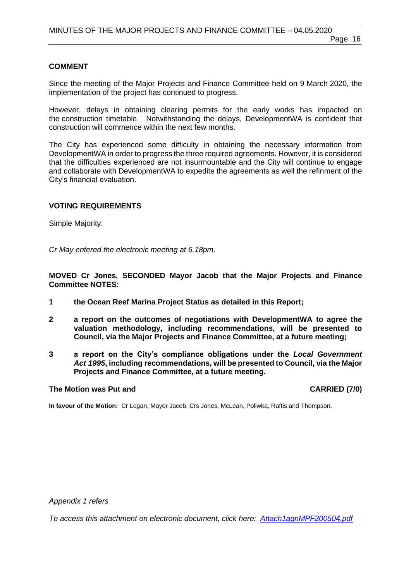#### **COMMENT**

Since the meeting of the Major Projects and Finance Committee held on 9 March 2020, the implementation of the project has continued to progress.

However, delays in obtaining clearing permits for the early works has impacted on the construction timetable. Notwithstanding the delays, DevelopmentWA is confident that construction will commence within the next few months.

The City has experienced some difficulty in obtaining the necessary information from DevelopmentWA in order to progress the three required agreements. However, it is considered that the difficulties experienced are not insurmountable and the City will continue to engage and collaborate with DevelopmentWA to expedite the agreements as well the refinment of the City's financial evaluation.

#### **VOTING REQUIREMENTS**

Simple Majority.

*Cr May entered the electronic meeting at 6.18pm.*

**MOVED Cr Jones, SECONDED Mayor Jacob that the Major Projects and Finance Committee NOTES:**

- **1 the Ocean Reef Marina Project Status as detailed in this Report;**
- **2 a report on the outcomes of negotiations with DevelopmentWA to agree the valuation methodology, including recommendations, will be presented to Council, via the Major Projects and Finance Committee, at a future meeting;**
- **3 a report on the City's compliance obligations under the** *Local Government Act 1995***, including recommendations, will be presented to Council, via the Major Projects and Finance Committee, at a future meeting.**

#### **The Motion was Put and CARRIED (7/0)**

**In favour of the Motion:** Cr Logan, Mayor Jacob, Crs Jones, McLean, Poliwka, Raftis and Thompson.

*Appendix 1 refers*

*To access this attachment on electronic document, click here: [Attach1agnMPF200504.pdf](http://www.joondalup.wa.gov.au/files/committees/MPFI/2020/Attach1agnMPF200504.pdf)*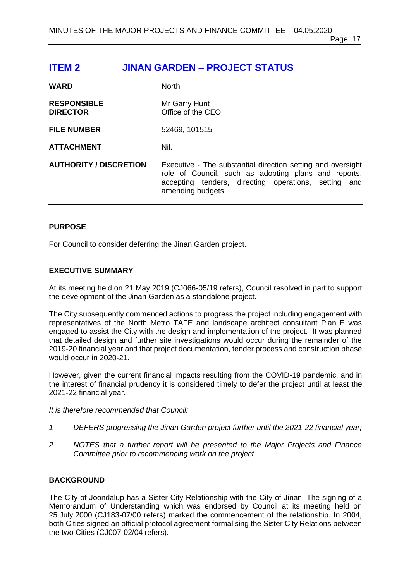Page 17

# <span id="page-16-0"></span>**ITEM 2 JINAN GARDEN – PROJECT STATUS**

| <b>WARD</b>                           | <b>North</b>                                                                                                                                                                                     |
|---------------------------------------|--------------------------------------------------------------------------------------------------------------------------------------------------------------------------------------------------|
| <b>RESPONSIBLE</b><br><b>DIRECTOR</b> | Mr Garry Hunt<br>Office of the CEO                                                                                                                                                               |
| <b>FILE NUMBER</b>                    | 52469, 101515                                                                                                                                                                                    |
| <b>ATTACHMENT</b>                     | Nil.                                                                                                                                                                                             |
| <b>AUTHORITY / DISCRETION</b>         | Executive - The substantial direction setting and oversight<br>role of Council, such as adopting plans and reports,<br>accepting tenders, directing operations, setting and<br>amending budgets. |

#### **PURPOSE**

For Council to consider deferring the Jinan Garden project.

### **EXECUTIVE SUMMARY**

At its meeting held on 21 May 2019 (CJ066-05/19 refers), Council resolved in part to support the development of the Jinan Garden as a standalone project.

The City subsequently commenced actions to progress the project including engagement with representatives of the North Metro TAFE and landscape architect consultant Plan E was engaged to assist the City with the design and implementation of the project. It was planned that detailed design and further site investigations would occur during the remainder of the 2019-20 financial year and that project documentation, tender process and construction phase would occur in 2020-21.

However, given the current financial impacts resulting from the COVID-19 pandemic, and in the interest of financial prudency it is considered timely to defer the project until at least the 2021-22 financial year.

*It is therefore recommended that Council:*

- *1 DEFERS progressing the Jinan Garden project further until the 2021-22 financial year;*
- *2 NOTES that a further report will be presented to the Major Projects and Finance Committee prior to recommencing work on the project.*

#### **BACKGROUND**

The City of Joondalup has a Sister City Relationship with the City of Jinan. The signing of a Memorandum of Understanding which was endorsed by Council at its meeting held on 25 July 2000 (CJ183-07/00 refers) marked the commencement of the relationship. In 2004, both Cities signed an official protocol agreement formalising the Sister City Relations between the two Cities (CJ007-02/04 refers).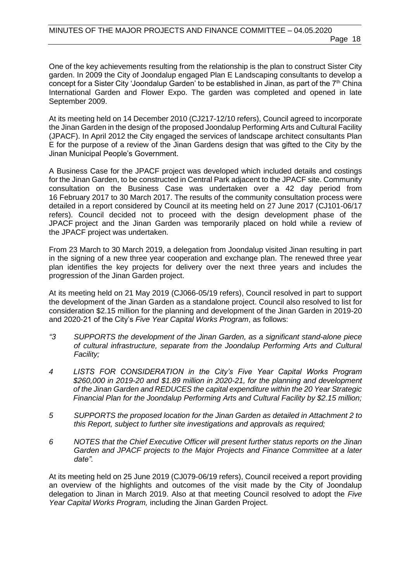One of the key achievements resulting from the relationship is the plan to construct Sister City garden. In 2009 the City of Joondalup engaged Plan E Landscaping consultants to develop a concept for a Sister City 'Joondalup Garden' to be established in Jinan, as part of the 7<sup>th</sup> China International Garden and Flower Expo. The garden was completed and opened in late September 2009.

At its meeting held on 14 December 2010 (CJ217-12/10 refers), Council agreed to incorporate the Jinan Garden in the design of the proposed Joondalup Performing Arts and Cultural Facility (JPACF). In April 2012 the City engaged the services of landscape architect consultants Plan E for the purpose of a review of the Jinan Gardens design that was gifted to the City by the Jinan Municipal People's Government.

A Business Case for the JPACF project was developed which included details and costings for the Jinan Garden, to be constructed in Central Park adjacent to the JPACF site. Community consultation on the Business Case was undertaken over a 42 day period from 16 February 2017 to 30 March 2017. The results of the community consultation process were detailed in a report considered by Council at its meeting held on 27 June 2017 (CJ101-06/17 refers). Council decided not to proceed with the design development phase of the JPACF project and the Jinan Garden was temporarily placed on hold while a review of the JPACF project was undertaken.

From 23 March to 30 March 2019, a delegation from Joondalup visited Jinan resulting in part in the signing of a new three year cooperation and exchange plan. The renewed three year plan identifies the key projects for delivery over the next three years and includes the progression of the Jinan Garden project.

At its meeting held on 21 May 2019 (CJ066-05/19 refers), Council resolved in part to support the development of the Jinan Garden as a standalone project. Council also resolved to list for consideration \$2.15 million for the planning and development of the Jinan Garden in 2019-20 and 2020-21 of the City's *Five Year Capital Works Program*, as follows:

- *"3 SUPPORTS the development of the Jinan Garden, as a significant stand-alone piece of cultural infrastructure, separate from the Joondalup Performing Arts and Cultural Facility;*
- *4 LISTS FOR CONSIDERATION in the City's Five Year Capital Works Program \$260,000 in 2019-20 and \$1.89 million in 2020-21, for the planning and development of the Jinan Garden and REDUCES the capital expenditure within the 20 Year Strategic Financial Plan for the Joondalup Performing Arts and Cultural Facility by \$2.15 million;*
- *5 SUPPORTS the proposed location for the Jinan Garden as detailed in Attachment 2 to this Report, subject to further site investigations and approvals as required;*
- *6 NOTES that the Chief Executive Officer will present further status reports on the Jinan Garden and JPACF projects to the Major Projects and Finance Committee at a later date".*

At its meeting held on 25 June 2019 (CJ079-06/19 refers), Council received a report providing an overview of the highlights and outcomes of the visit made by the City of Joondalup delegation to Jinan in March 2019. Also at that meeting Council resolved to adopt the *Five Year Capital Works Program,* including the Jinan Garden Project.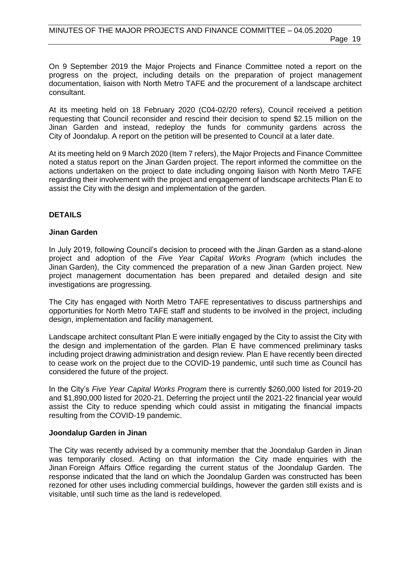On 9 September 2019 the Major Projects and Finance Committee noted a report on the progress on the project, including details on the preparation of project management documentation, liaison with North Metro TAFE and the procurement of a landscape architect consultant.

At its meeting held on 18 February 2020 (C04-02/20 refers), Council received a petition requesting that Council reconsider and rescind their decision to spend \$2.15 million on the Jinan Garden and instead, redeploy the funds for community gardens across the City of Joondalup. A report on the petition will be presented to Council at a later date.

At its meeting held on 9 March 2020 (Item 7 refers), the Major Projects and Finance Committee noted a status report on the Jinan Garden project. The report informed the committee on the actions undertaken on the project to date including ongoing liaison with North Metro TAFE regarding their involvement with the project and engagement of landscape architects Plan E to assist the City with the design and implementation of the garden.

#### **DETAILS**

#### **Jinan Garden**

In July 2019, following Council's decision to proceed with the Jinan Garden as a stand-alone project and adoption of the *Five Year Capital Works Program* (which includes the Jinan Garden), the City commenced the preparation of a new Jinan Garden project. New project management documentation has been prepared and detailed design and site investigations are progressing.

The City has engaged with North Metro TAFE representatives to discuss partnerships and opportunities for North Metro TAFE staff and students to be involved in the project, including design, implementation and facility management.

Landscape architect consultant Plan E were initially engaged by the City to assist the City with the design and implementation of the garden. Plan E have commenced preliminary tasks including project drawing administration and design review. Plan E have recently been directed to cease work on the project due to the COVID-19 pandemic, until such time as Council has considered the future of the project.

In the City's *Five Year Capital Works Program* there is currently \$260,000 listed for 2019-20 and \$1,890,000 listed for 2020-21. Deferring the project until the 2021-22 financial year would assist the City to reduce spending which could assist in mitigating the financial impacts resulting from the COVID-19 pandemic.

#### **Joondalup Garden in Jinan**

The City was recently advised by a community member that the Joondalup Garden in Jinan was temporarily closed. Acting on that information the City made enquiries with the Jinan Foreign Affairs Office regarding the current status of the Joondalup Garden. The response indicated that the land on which the Joondalup Garden was constructed has been rezoned for other uses including commercial buildings, however the garden still exists and is visitable, until such time as the land is redeveloped.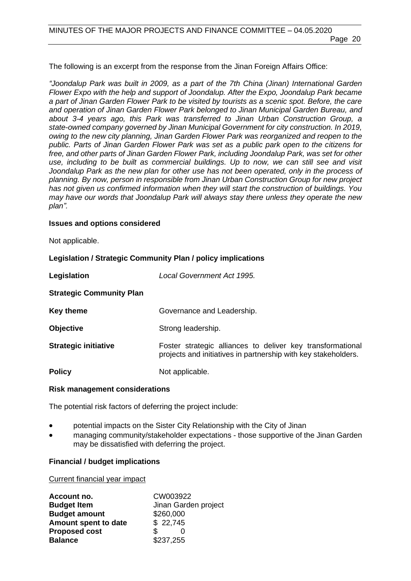Page 20

The following is an excerpt from the response from the Jinan Foreign Affairs Office:

*"Joondalup Park was built in 2009, as a part of the 7th China (Jinan) International Garden Flower Expo with the help and support of Joondalup. After the Expo, Joondalup Park became a part of Jinan Garden Flower Park to be visited by tourists as a scenic spot. Before, the care and operation of Jinan Garden Flower Park belonged to Jinan Municipal Garden Bureau, and about 3-4 years ago, this Park was transferred to Jinan Urban Construction Group, a state-owned company governed by Jinan Municipal Government for city construction. In 2019, owing to the new city planning, Jinan Garden Flower Park was reorganized and reopen to the public. Parts of Jinan Garden Flower Park was set as a public park open to the citizens for free, and other parts of Jinan Garden Flower Park, including Joondalup Park, was set for other use, including to be built as commercial buildings. Up to now, we can still see and visit Joondalup Park as the new plan for other use has not been operated, only in the process of planning. By now, person in responsible from Jinan Urban Construction Group for new project has not given us confirmed information when they will start the construction of buildings. You may have our words that Joondalup Park will always stay there unless they operate the new plan".*

#### **Issues and options considered**

Not applicable.

#### **Legislation / Strategic Community Plan / policy implications**

| Legislation                     | Local Government Act 1995.                                                                                                   |
|---------------------------------|------------------------------------------------------------------------------------------------------------------------------|
| <b>Strategic Community Plan</b> |                                                                                                                              |
| <b>Key theme</b>                | Governance and Leadership.                                                                                                   |
| <b>Objective</b>                | Strong leadership.                                                                                                           |
| <b>Strategic initiative</b>     | Foster strategic alliances to deliver key transformational<br>projects and initiatives in partnership with key stakeholders. |
| <b>Policy</b>                   | Not applicable.                                                                                                              |

#### **Risk management considerations**

The potential risk factors of deferring the project include:

- potential impacts on the Sister City Relationship with the City of Jinan
- managing community/stakeholder expectations those supportive of the Jinan Garden may be dissatisfied with deferring the project.

#### **Financial / budget implications**

#### Current financial year impact

| Account no.          | CW003922             |
|----------------------|----------------------|
| <b>Budget Item</b>   | Jinan Garden project |
| <b>Budget amount</b> | \$260,000            |
| Amount spent to date | \$22,745             |
| <b>Proposed cost</b> | \$.                  |
| <b>Balance</b>       | \$237,255            |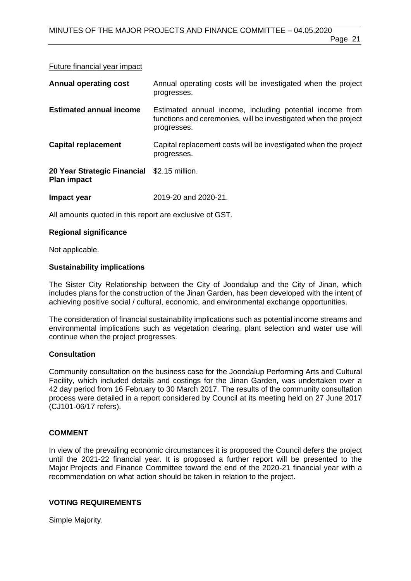#### Future financial year impact

| <b>Annual operating cost</b>                                      | Annual operating costs will be investigated when the project<br>progresses.                                                                |
|-------------------------------------------------------------------|--------------------------------------------------------------------------------------------------------------------------------------------|
| <b>Estimated annual income</b>                                    | Estimated annual income, including potential income from<br>functions and ceremonies, will be investigated when the project<br>progresses. |
| <b>Capital replacement</b>                                        | Capital replacement costs will be investigated when the project<br>progresses.                                                             |
| 20 Year Strategic Financial \$2.15 million.<br><b>Plan impact</b> |                                                                                                                                            |
| Impact year                                                       | 2019-20 and 2020-21.                                                                                                                       |

All amounts quoted in this report are exclusive of GST.

#### **Regional significance**

Not applicable.

#### **Sustainability implications**

The Sister City Relationship between the City of Joondalup and the City of Jinan, which includes plans for the construction of the Jinan Garden, has been developed with the intent of achieving positive social / cultural, economic, and environmental exchange opportunities.

The consideration of financial sustainability implications such as potential income streams and environmental implications such as vegetation clearing, plant selection and water use will continue when the project progresses.

#### **Consultation**

Community consultation on the business case for the Joondalup Performing Arts and Cultural Facility, which included details and costings for the Jinan Garden, was undertaken over a 42 day period from 16 February to 30 March 2017. The results of the community consultation process were detailed in a report considered by Council at its meeting held on 27 June 2017 (CJ101-06/17 refers).

#### **COMMENT**

In view of the prevailing economic circumstances it is proposed the Council defers the project until the 2021-22 financial year. It is proposed a further report will be presented to the Major Projects and Finance Committee toward the end of the 2020-21 financial year with a recommendation on what action should be taken in relation to the project.

#### **VOTING REQUIREMENTS**

Simple Majority.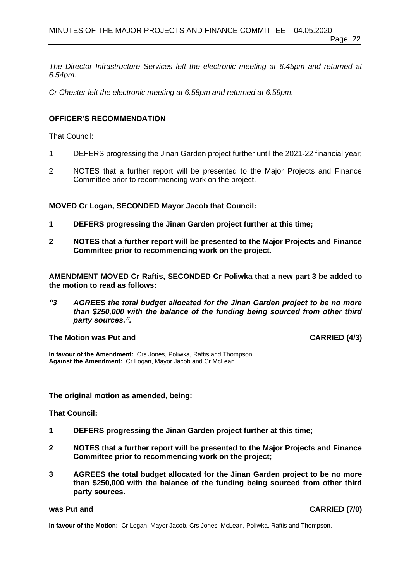*The Director Infrastructure Services left the electronic meeting at 6.45pm and returned at 6.54pm.*

*Cr Chester left the electronic meeting at 6.58pm and returned at 6.59pm.*

#### **OFFICER'S RECOMMENDATION**

That Council:

- 1 DEFERS progressing the Jinan Garden project further until the 2021-22 financial year;
- 2 NOTES that a further report will be presented to the Major Projects and Finance Committee prior to recommencing work on the project.

#### **MOVED Cr Logan, SECONDED Mayor Jacob that Council:**

- **1 DEFERS progressing the Jinan Garden project further at this time;**
- **2 NOTES that a further report will be presented to the Major Projects and Finance Committee prior to recommencing work on the project.**

**AMENDMENT MOVED Cr Raftis, SECONDED Cr Poliwka that a new part 3 be added to the motion to read as follows:**

*"3 AGREES the total budget allocated for the Jinan Garden project to be no more than \$250,000 with the balance of the funding being sourced from other third party sources.".*

#### The Motion was Put and **CARRIED** (4/3)

**In favour of the Amendment:** Crs Jones, Poliwka, Raftis and Thompson. **Against the Amendment:** Cr Logan, Mayor Jacob and Cr McLean.

#### **The original motion as amended, being:**

**That Council:** 

- **1 DEFERS progressing the Jinan Garden project further at this time;**
- **2 NOTES that a further report will be presented to the Major Projects and Finance Committee prior to recommencing work on the project;**
- **3 AGREES the total budget allocated for the Jinan Garden project to be no more than \$250,000 with the balance of the funding being sourced from other third party sources.**

**was Put and CARRIED (7/0)** 

**In favour of the Motion:** Cr Logan, Mayor Jacob, Crs Jones, McLean, Poliwka, Raftis and Thompson.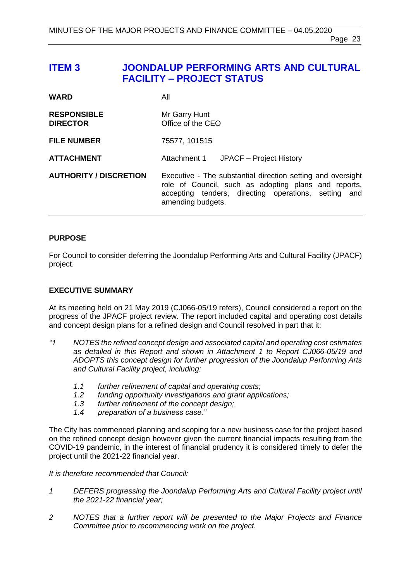# <span id="page-22-0"></span>**ITEM 3 JOONDALUP PERFORMING ARTS AND CULTURAL FACILITY – PROJECT STATUS**

| <b>WARD</b>                           | All                                                                                                                                                                                              |
|---------------------------------------|--------------------------------------------------------------------------------------------------------------------------------------------------------------------------------------------------|
| <b>RESPONSIBLE</b><br><b>DIRECTOR</b> | Mr Garry Hunt<br>Office of the CEO                                                                                                                                                               |
| <b>FILE NUMBER</b>                    | 75577, 101515                                                                                                                                                                                    |
| <b>ATTACHMENT</b>                     | Attachment 1 JPACF - Project History                                                                                                                                                             |
| <b>AUTHORITY / DISCRETION</b>         | Executive - The substantial direction setting and oversight<br>role of Council, such as adopting plans and reports,<br>accepting tenders, directing operations, setting and<br>amending budgets. |

#### **PURPOSE**

For Council to consider deferring the Joondalup Performing Arts and Cultural Facility (JPACF) project.

#### **EXECUTIVE SUMMARY**

At its meeting held on 21 May 2019 (CJ066-05/19 refers), Council considered a report on the progress of the JPACF project review. The report included capital and operating cost details and concept design plans for a refined design and Council resolved in part that it:

- *"1 NOTES the refined concept design and associated capital and operating cost estimates as detailed in this Report and shown in Attachment 1 to Report CJ066-05/19 and ADOPTS this concept design for further progression of the Joondalup Performing Arts and Cultural Facility project, including:*
	- *1.1 further refinement of capital and operating costs;*
	- *1.2 funding opportunity investigations and grant applications;*
	- *1.3 further refinement of the concept design;*
	- *1.4 preparation of a business case."*

The City has commenced planning and scoping for a new business case for the project based on the refined concept design however given the current financial impacts resulting from the COVID-19 pandemic, in the interest of financial prudency it is considered timely to defer the project until the 2021-22 financial year.

#### *It is therefore recommended that Council:*

- *1 DEFERS progressing the Joondalup Performing Arts and Cultural Facility project until the 2021-22 financial year;*
- *2 NOTES that a further report will be presented to the Major Projects and Finance Committee prior to recommencing work on the project.*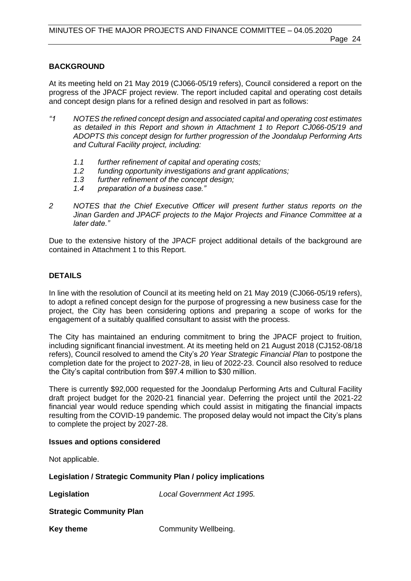#### **BACKGROUND**

At its meeting held on 21 May 2019 (CJ066-05/19 refers), Council considered a report on the progress of the JPACF project review. The report included capital and operating cost details and concept design plans for a refined design and resolved in part as follows:

- *"1 NOTES the refined concept design and associated capital and operating cost estimates as detailed in this Report and shown in Attachment 1 to Report CJ066-05/19 and ADOPTS this concept design for further progression of the Joondalup Performing Arts and Cultural Facility project, including:*
	- *1.1 further refinement of capital and operating costs;*
	- *1.2 funding opportunity investigations and grant applications;*
	- *1.3 further refinement of the concept design;*
	- *1.4 preparation of a business case."*
- *2 NOTES that the Chief Executive Officer will present further status reports on the Jinan Garden and JPACF projects to the Major Projects and Finance Committee at a later date."*

Due to the extensive history of the JPACF project additional details of the background are contained in Attachment 1 to this Report.

#### **DETAILS**

In line with the resolution of Council at its meeting held on 21 May 2019 (CJ066-05/19 refers), to adopt a refined concept design for the purpose of progressing a new business case for the project, the City has been considering options and preparing a scope of works for the engagement of a suitably qualified consultant to assist with the process.

The City has maintained an enduring commitment to bring the JPACF project to fruition, including significant financial investment. At its meeting held on 21 August 2018 (CJ152-08/18 refers), Council resolved to amend the City's *20 Year Strategic Financial Plan* to postpone the completion date for the project to 2027-28, in lieu of 2022-23. Council also resolved to reduce the City's capital contribution from \$97.4 million to \$30 million.

There is currently \$92,000 requested for the Joondalup Performing Arts and Cultural Facility draft project budget for the 2020-21 financial year. Deferring the project until the 2021-22 financial year would reduce spending which could assist in mitigating the financial impacts resulting from the COVID-19 pandemic. The proposed delay would not impact the City's plans to complete the project by 2027-28.

#### **Issues and options considered**

Not applicable.

**Legislation / Strategic Community Plan / policy implications**

**Legislation** *Local Government Act 1995.*

**Strategic Community Plan**

**Key theme Community Wellbeing.**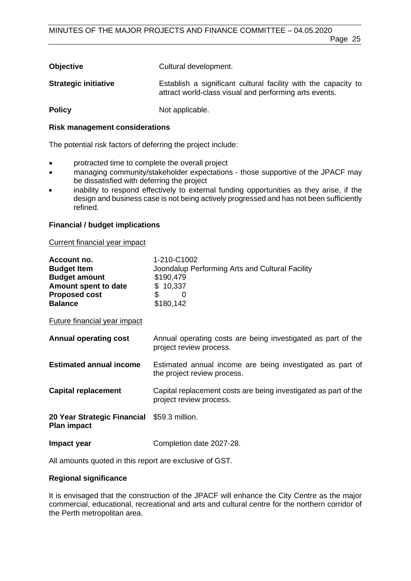| <b>Objective</b>            | Cultural development.                                                                                                    |
|-----------------------------|--------------------------------------------------------------------------------------------------------------------------|
| <b>Strategic initiative</b> | Establish a significant cultural facility with the capacity to<br>attract world-class visual and performing arts events. |
| <b>Policy</b>               | Not applicable.                                                                                                          |

#### **Risk management considerations**

The potential risk factors of deferring the project include:

- protracted time to complete the overall project
- managing community/stakeholder expectations those supportive of the JPACF may be dissatisfied with deferring the project
- inability to respond effectively to external funding opportunities as they arise, if the design and business case is not being actively progressed and has not been sufficiently refined.

### **Financial / budget implications**

#### Current financial year impact

| Account no.<br><b>Budget Item</b><br><b>Budget amount</b><br>Amount spent to date<br><b>Proposed cost</b><br><b>Balance</b> | 1-210-C1002<br>Joondalup Performing Arts and Cultural Facility<br>\$190,479<br>\$10,337<br>\$<br>- 0<br>\$180,142 |  |
|-----------------------------------------------------------------------------------------------------------------------------|-------------------------------------------------------------------------------------------------------------------|--|
| <b>Future financial year impact</b>                                                                                         |                                                                                                                   |  |
| <b>Annual operating cost</b>                                                                                                | Annual operating costs are being investigated as part of the<br>project review process.                           |  |
| <b>Estimated annual income</b>                                                                                              | Estimated annual income are being investigated as part of<br>the project review process.                          |  |
| <b>Capital replacement</b>                                                                                                  | Capital replacement costs are being investigated as part of the<br>project review process.                        |  |
| 20 Year Strategic Financial \$59.3 million.<br><b>Plan impact</b>                                                           |                                                                                                                   |  |
| Impact year                                                                                                                 | Completion date 2027-28.                                                                                          |  |

All amounts quoted in this report are exclusive of GST.

#### **Regional significance**

It is envisaged that the construction of the JPACF will enhance the City Centre as the major commercial, educational, recreational and arts and cultural centre for the northern corridor of the Perth metropolitan area.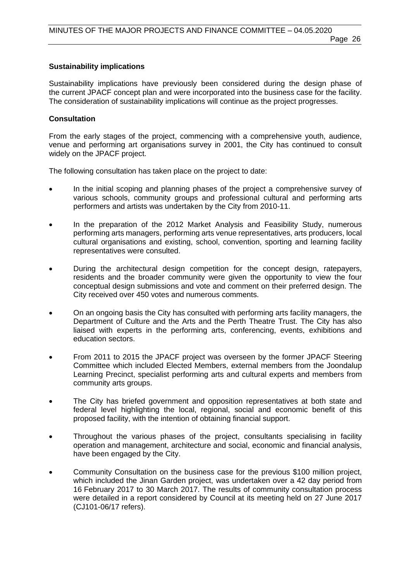# **Sustainability implications**

Sustainability implications have previously been considered during the design phase of the current JPACF concept plan and were incorporated into the business case for the facility. The consideration of sustainability implications will continue as the project progresses.

### **Consultation**

From the early stages of the project, commencing with a comprehensive youth, audience, venue and performing art organisations survey in 2001, the City has continued to consult widely on the JPACF project.

The following consultation has taken place on the project to date:

- In the initial scoping and planning phases of the project a comprehensive survey of various schools, community groups and professional cultural and performing arts performers and artists was undertaken by the City from 2010-11.
- In the preparation of the 2012 Market Analysis and Feasibility Study, numerous performing arts managers, performing arts venue representatives, arts producers, local cultural organisations and existing, school, convention, sporting and learning facility representatives were consulted.
- During the architectural design competition for the concept design, ratepayers, residents and the broader community were given the opportunity to view the four conceptual design submissions and vote and comment on their preferred design. The City received over 450 votes and numerous comments.
- On an ongoing basis the City has consulted with performing arts facility managers, the Department of Culture and the Arts and the Perth Theatre Trust. The City has also liaised with experts in the performing arts, conferencing, events, exhibitions and education sectors.
- From 2011 to 2015 the JPACF project was overseen by the former JPACF Steering Committee which included Elected Members, external members from the Joondalup Learning Precinct, specialist performing arts and cultural experts and members from community arts groups.
- The City has briefed government and opposition representatives at both state and federal level highlighting the local, regional, social and economic benefit of this proposed facility, with the intention of obtaining financial support.
- Throughout the various phases of the project, consultants specialising in facility operation and management, architecture and social, economic and financial analysis, have been engaged by the City.
- Community Consultation on the business case for the previous \$100 million project, which included the Jinan Garden project, was undertaken over a 42 day period from 16 February 2017 to 30 March 2017. The results of community consultation process were detailed in a report considered by Council at its meeting held on 27 June 2017 (CJ101-06/17 refers).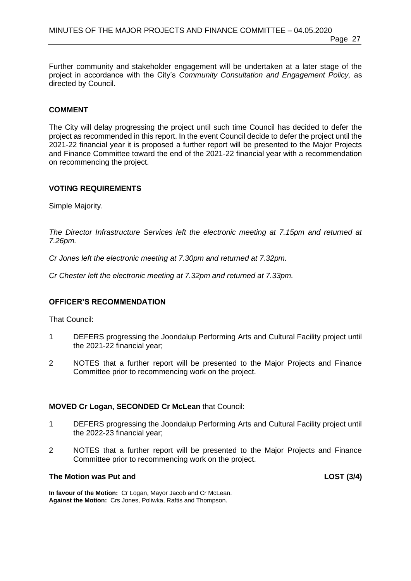Further community and stakeholder engagement will be undertaken at a later stage of the project in accordance with the City's *Community Consultation and Engagement Policy,* as directed by Council.

#### **COMMENT**

The City will delay progressing the project until such time Council has decided to defer the project as recommended in this report. In the event Council decide to defer the project until the 2021-22 financial year it is proposed a further report will be presented to the Major Projects and Finance Committee toward the end of the 2021-22 financial year with a recommendation on recommencing the project.

#### **VOTING REQUIREMENTS**

Simple Majority.

*The Director Infrastructure Services left the electronic meeting at 7.15pm and returned at 7.26pm.*

*Cr Jones left the electronic meeting at 7.30pm and returned at 7.32pm.*

*Cr Chester left the electronic meeting at 7.32pm and returned at 7.33pm.*

#### **OFFICER'S RECOMMENDATION**

That Council:

- 1 DEFERS progressing the Joondalup Performing Arts and Cultural Facility project until the 2021-22 financial year;
- 2 NOTES that a further report will be presented to the Major Projects and Finance Committee prior to recommencing work on the project.

#### **MOVED Cr Logan, SECONDED Cr McLean** that Council:

- 1 DEFERS progressing the Joondalup Performing Arts and Cultural Facility project until the 2022-23 financial year;
- 2 NOTES that a further report will be presented to the Major Projects and Finance Committee prior to recommencing work on the project.

#### **The Motion was Put and LOST (3/4)**

**In favour of the Motion:** Cr Logan, Mayor Jacob and Cr McLean. **Against the Motion:** Crs Jones, Poliwka, Raftis and Thompson.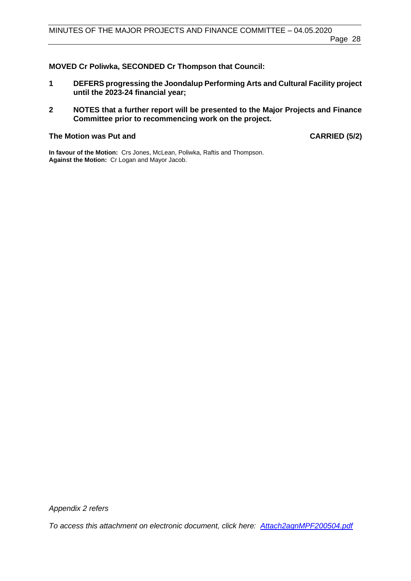# **MOVED Cr Poliwka, SECONDED Cr Thompson that Council:**

- **1 DEFERS progressing the Joondalup Performing Arts and Cultural Facility project until the 2023-24 financial year;**
- **2 NOTES that a further report will be presented to the Major Projects and Finance Committee prior to recommencing work on the project.**

# The Motion was Put and **CARRIED** (5/2)

**In favour of the Motion:** Crs Jones, McLean, Poliwka, Raftis and Thompson. **Against the Motion:** Cr Logan and Mayor Jacob.

*Appendix 2 refers*

*To access this attachment on electronic document, click here: [Attach2agnMPF200504.pdf](http://www.joondalup.wa.gov.au/files/committees/MPFI/2020/Attach2agnMPF200504.pdf)*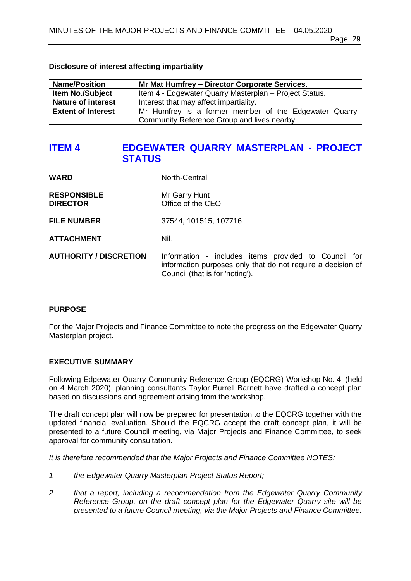#### **Disclosure of interest affecting impartiality**

| <b>Name/Position</b>      | Mr Mat Humfrey - Director Corporate Services.          |  |
|---------------------------|--------------------------------------------------------|--|
| <b>Item No./Subject</b>   | Item 4 - Edgewater Quarry Masterplan - Project Status. |  |
| <b>Nature of interest</b> | Interest that may affect impartiality.                 |  |
| <b>Extent of Interest</b> | Mr Humfrey is a former member of the Edgewater Quarry  |  |
|                           | Community Reference Group and lives nearby.            |  |

# <span id="page-28-0"></span>**ITEM 4 EDGEWATER QUARRY MASTERPLAN - PROJECT STATUS**

| <b>WARD</b>                           | North-Central                                                                                                                                          |
|---------------------------------------|--------------------------------------------------------------------------------------------------------------------------------------------------------|
| <b>RESPONSIBLE</b><br><b>DIRECTOR</b> | Mr Garry Hunt<br>Office of the CEO                                                                                                                     |
| <b>FILE NUMBER</b>                    | 37544, 101515, 107716                                                                                                                                  |
| <b>ATTACHMENT</b>                     | Nil.                                                                                                                                                   |
| <b>AUTHORITY / DISCRETION</b>         | Information - includes items provided to Council for<br>information purposes only that do not require a decision of<br>Council (that is for 'noting'). |

#### **PURPOSE**

For the Major Projects and Finance Committee to note the progress on the Edgewater Quarry Masterplan project.

#### **EXECUTIVE SUMMARY**

Following Edgewater Quarry Community Reference Group (EQCRG) Workshop No. 4 (held on 4 March 2020), planning consultants Taylor Burrell Barnett have drafted a concept plan based on discussions and agreement arising from the workshop.

The draft concept plan will now be prepared for presentation to the EQCRG together with the updated financial evaluation. Should the EQCRG accept the draft concept plan, it will be presented to a future Council meeting, via Major Projects and Finance Committee, to seek approval for community consultation.

*It is therefore recommended that the Major Projects and Finance Committee NOTES:*

- *1 the Edgewater Quarry Masterplan Project Status Report;*
- *2 that a report, including a recommendation from the Edgewater Quarry Community Reference Group, on the draft concept plan for the Edgewater Quarry site will be presented to a future Council meeting, via the Major Projects and Finance Committee.*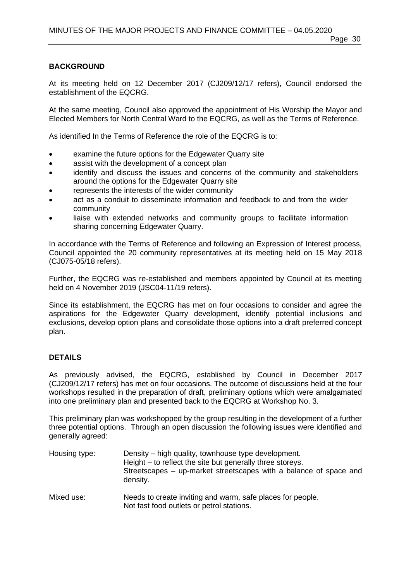# **BACKGROUND**

At its meeting held on 12 December 2017 (CJ209/12/17 refers), Council endorsed the establishment of the EQCRG.

At the same meeting, Council also approved the appointment of His Worship the Mayor and Elected Members for North Central Ward to the EQCRG, as well as the Terms of Reference.

As identified In the Terms of Reference the role of the EQCRG is to:

- examine the future options for the Edgewater Quarry site
- assist with the development of a concept plan
- identify and discuss the issues and concerns of the community and stakeholders around the options for the Edgewater Quarry site
- represents the interests of the wider community
- act as a conduit to disseminate information and feedback to and from the wider community
- liaise with extended networks and community groups to facilitate information sharing concerning Edgewater Quarry.

In accordance with the Terms of Reference and following an Expression of Interest process, Council appointed the 20 community representatives at its meeting held on 15 May 2018 (CJ075-05/18 refers).

Further, the EQCRG was re-established and members appointed by Council at its meeting held on 4 November 2019 (JSC04-11/19 refers).

Since its establishment, the EQCRG has met on four occasions to consider and agree the aspirations for the Edgewater Quarry development, identify potential inclusions and exclusions, develop option plans and consolidate those options into a draft preferred concept plan.

#### **DETAILS**

As previously advised, the EQCRG, established by Council in December 2017 (CJ209/12/17 refers) has met on four occasions. The outcome of discussions held at the four workshops resulted in the preparation of draft, preliminary options which were amalgamated into one preliminary plan and presented back to the EQCRG at Workshop No. 3.

This preliminary plan was workshopped by the group resulting in the development of a further three potential options. Through an open discussion the following issues were identified and generally agreed:

| Housing type: | Density – high quality, townhouse type development.<br>Height – to reflect the site but generally three storeys.<br>Streetscapes – up-market streetscapes with a balance of space and<br>density. |  |
|---------------|---------------------------------------------------------------------------------------------------------------------------------------------------------------------------------------------------|--|
| Mixed use:    | Needs to create inviting and warm, safe places for people.<br>Not fast food outlets or petrol stations.                                                                                           |  |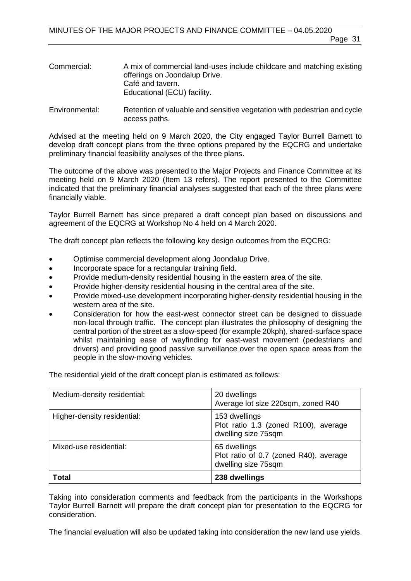- Commercial: A mix of commercial land-uses include childcare and matching existing offerings on Joondalup Drive. Café and tavern. Educational (ECU) facility.
- Environmental: Retention of valuable and sensitive vegetation with pedestrian and cycle access paths.

Advised at the meeting held on 9 March 2020, the City engaged Taylor Burrell Barnett to develop draft concept plans from the three options prepared by the EQCRG and undertake preliminary financial feasibility analyses of the three plans.

The outcome of the above was presented to the Major Projects and Finance Committee at its meeting held on 9 March 2020 (Item 13 refers). The report presented to the Committee indicated that the preliminary financial analyses suggested that each of the three plans were financially viable.

Taylor Burrell Barnett has since prepared a draft concept plan based on discussions and agreement of the EQCRG at Workshop No 4 held on 4 March 2020.

The draft concept plan reflects the following key design outcomes from the EQCRG:

- Optimise commercial development along Joondalup Drive.
- Incorporate space for a rectangular training field.
- Provide medium-density residential housing in the eastern area of the site.
- Provide higher-density residential housing in the central area of the site.
- Provide mixed-use development incorporating higher-density residential housing in the western area of the site.
- Consideration for how the east-west connector street can be designed to dissuade non-local through traffic. The concept plan illustrates the philosophy of designing the central portion of the street as a slow-speed (for example 20kph), shared-surface space whilst maintaining ease of wayfinding for east-west movement (pedestrians and drivers) and providing good passive surveillance over the open space areas from the people in the slow-moving vehicles.

The residential yield of the draft concept plan is estimated as follows:

| Medium-density residential: | 20 dwellings<br>Average lot size 220sqm, zoned R40                            |
|-----------------------------|-------------------------------------------------------------------------------|
| Higher-density residential: | 153 dwellings<br>Plot ratio 1.3 (zoned R100), average<br>dwelling size 75sqm  |
| Mixed-use residential:      | 65 dwellings<br>Plot ratio of 0.7 (zoned R40), average<br>dwelling size 75sqm |
| <b>Total</b>                | 238 dwellings                                                                 |

Taking into consideration comments and feedback from the participants in the Workshops Taylor Burrell Barnett will prepare the draft concept plan for presentation to the EQCRG for consideration.

The financial evaluation will also be updated taking into consideration the new land use yields.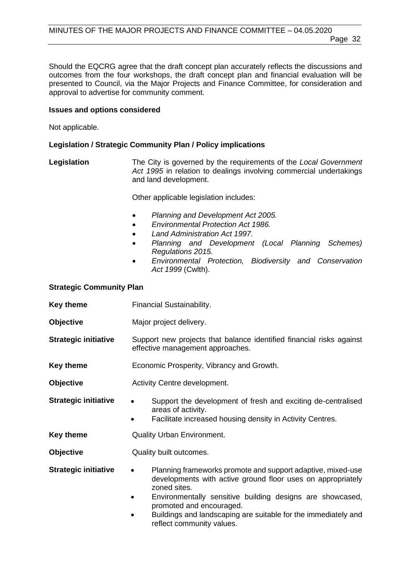Should the EQCRG agree that the draft concept plan accurately reflects the discussions and outcomes from the four workshops, the draft concept plan and financial evaluation will be presented to Council, via the Major Projects and Finance Committee, for consideration and approval to advertise for community comment.

#### **Issues and options considered**

Not applicable.

#### **Legislation / Strategic Community Plan / Policy implications**

**Legislation** The City is governed by the requirements of the *Local Government Act 1995* in relation to dealings involving commercial undertakings and land development.

Other applicable legislation includes:

- *Planning and Development Act 2005.*
- *Environmental Protection Act 1986.*
- *Land Administration Act 1997.*
- *Planning and Development (Local Planning Schemes) Regulations 2015.*
- *Environmental Protection, Biodiversity and Conservation Act 1999* (Cwlth).

#### **Strategic Community Plan**

- **Key theme** Financial Sustainability. **Objective** Major project delivery. **Strategic initiative** Support new projects that balance identified financial risks against effective management approaches. **Key theme Economic Prosperity, Vibrancy and Growth. Objective Activity Centre development. Strategic initiative •** Support the development of fresh and exciting de-centralised areas of activity. Facilitate increased housing density in Activity Centres. **Key theme Quality Urban Environment. Objective Quality built outcomes. Strategic initiative •** Planning frameworks promote and support adaptive, mixed-use developments with active ground floor uses on appropriately zoned sites. • Environmentally sensitive building designs are showcased, promoted and encouraged. • Buildings and landscaping are suitable for the immediately and
	- reflect community values.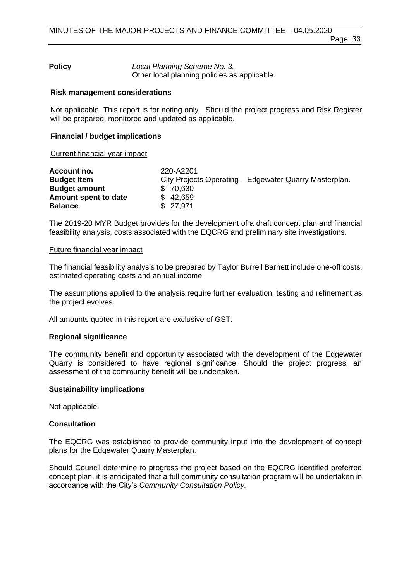#### **Policy** *Local Planning Scheme No. 3.* Other local planning policies as applicable.

# **Risk management considerations**

Not applicable. This report is for noting only. Should the project progress and Risk Register will be prepared, monitored and updated as applicable.

# **Financial / budget implications**

### Current financial year impact

| Account no.          | 220-A2201                                              |  |
|----------------------|--------------------------------------------------------|--|
| <b>Budget Item</b>   | City Projects Operating – Edgewater Quarry Masterplan. |  |
| <b>Budget amount</b> | \$70,630                                               |  |
| Amount spent to date | \$42,659                                               |  |
| <b>Balance</b>       | \$27.971                                               |  |

The 2019-20 MYR Budget provides for the development of a draft concept plan and financial feasibility analysis, costs associated with the EQCRG and preliminary site investigations.

#### Future financial year impact

The financial feasibility analysis to be prepared by Taylor Burrell Barnett include one-off costs, estimated operating costs and annual income.

The assumptions applied to the analysis require further evaluation, testing and refinement as the project evolves.

All amounts quoted in this report are exclusive of GST.

#### **Regional significance**

The community benefit and opportunity associated with the development of the Edgewater Quarry is considered to have regional significance. Should the project progress, an assessment of the community benefit will be undertaken.

#### **Sustainability implications**

Not applicable.

#### **Consultation**

The EQCRG was established to provide community input into the development of concept plans for the Edgewater Quarry Masterplan.

Should Council determine to progress the project based on the EQCRG identified preferred concept plan, it is anticipated that a full community consultation program will be undertaken in accordance with the City's *Community Consultation Policy.*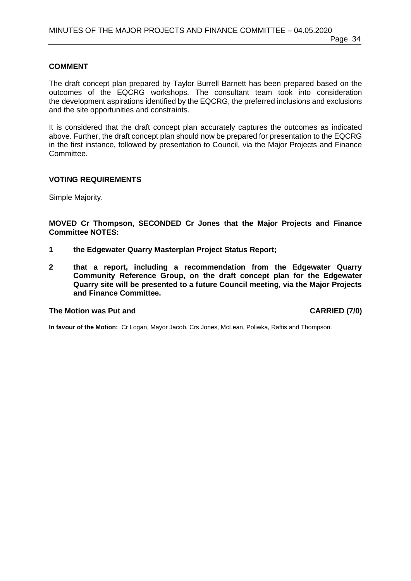#### **COMMENT**

The draft concept plan prepared by Taylor Burrell Barnett has been prepared based on the outcomes of the EQCRG workshops. The consultant team took into consideration the development aspirations identified by the EQCRG, the preferred inclusions and exclusions and the site opportunities and constraints.

It is considered that the draft concept plan accurately captures the outcomes as indicated above. Further, the draft concept plan should now be prepared for presentation to the EQCRG in the first instance, followed by presentation to Council, via the Major Projects and Finance Committee.

#### **VOTING REQUIREMENTS**

Simple Majority.

**MOVED Cr Thompson, SECONDED Cr Jones that the Major Projects and Finance Committee NOTES:**

- **1 the Edgewater Quarry Masterplan Project Status Report;**
- **2 that a report, including a recommendation from the Edgewater Quarry Community Reference Group, on the draft concept plan for the Edgewater Quarry site will be presented to a future Council meeting, via the Major Projects and Finance Committee.**

#### The Motion was Put and **CARRIED** (7/0)

**In favour of the Motion:** Cr Logan, Mayor Jacob, Crs Jones, McLean, Poliwka, Raftis and Thompson.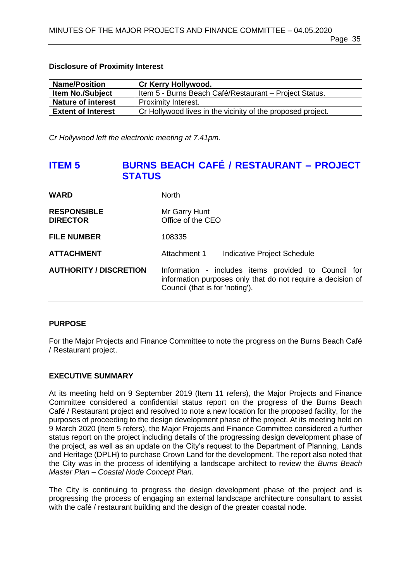#### **Disclosure of Proximity Interest**

| <b>Name/Position</b>      | Cr Kerry Hollywood.                                         |
|---------------------------|-------------------------------------------------------------|
| <b>Item No./Subject</b>   | Item 5 - Burns Beach Café/Restaurant - Project Status.      |
| <b>Nature of interest</b> | <b>Proximity Interest.</b>                                  |
| <b>Extent of Interest</b> | Cr Hollywood lives in the vicinity of the proposed project. |

*Cr Hollywood left the electronic meeting at 7.41pm.*

# <span id="page-34-0"></span>**ITEM 5 BURNS BEACH CAFÉ / RESTAURANT – PROJECT STATUS**

| <b>WARD</b>                           | <b>North</b>                                                                                                                                           |  |
|---------------------------------------|--------------------------------------------------------------------------------------------------------------------------------------------------------|--|
| <b>RESPONSIBLE</b><br><b>DIRECTOR</b> | Mr Garry Hunt<br>Office of the CEO                                                                                                                     |  |
| <b>FILE NUMBER</b>                    | 108335                                                                                                                                                 |  |
| <b>ATTACHMENT</b>                     | Attachment 1<br>Indicative Project Schedule                                                                                                            |  |
| <b>AUTHORITY / DISCRETION</b>         | Information - includes items provided to Council for<br>information purposes only that do not require a decision of<br>Council (that is for 'noting'). |  |

#### **PURPOSE**

For the Major Projects and Finance Committee to note the progress on the Burns Beach Café / Restaurant project.

#### **EXECUTIVE SUMMARY**

At its meeting held on 9 September 2019 (Item 11 refers), the Major Projects and Finance Committee considered a confidential status report on the progress of the Burns Beach Café / Restaurant project and resolved to note a new location for the proposed facility, for the purposes of proceeding to the design development phase of the project. At its meeting held on 9 March 2020 (Item 5 refers), the Major Projects and Finance Committee considered a further status report on the project including details of the progressing design development phase of the project, as well as an update on the City's request to the Department of Planning, Lands and Heritage (DPLH) to purchase Crown Land for the development. The report also noted that the City was in the process of identifying a landscape architect to review the *Burns Beach Master Plan – Coastal Node Concept Plan*.

The City is continuing to progress the design development phase of the project and is progressing the process of engaging an external landscape architecture consultant to assist with the café / restaurant building and the design of the greater coastal node.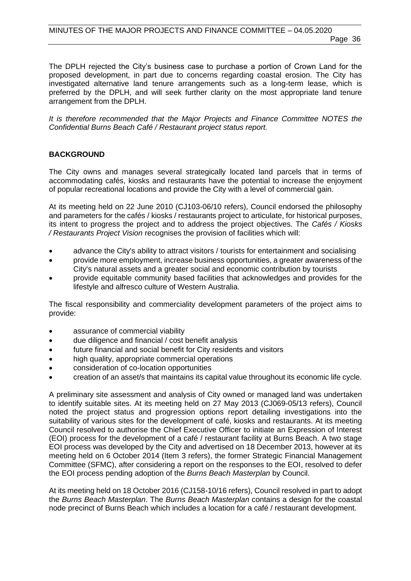The DPLH rejected the City's business case to purchase a portion of Crown Land for the proposed development, in part due to concerns regarding coastal erosion. The City has investigated alternative land tenure arrangements such as a long-term lease, which is preferred by the DPLH, and will seek further clarity on the most appropriate land tenure arrangement from the DPLH.

*It is therefore recommended that the Major Projects and Finance Committee NOTES the Confidential Burns Beach Café / Restaurant project status report.* 

#### **BACKGROUND**

The City owns and manages several strategically located land parcels that in terms of accommodating cafés, kiosks and restaurants have the potential to increase the enjoyment of popular recreational locations and provide the City with a level of commercial gain.

At its meeting held on 22 June 2010 (CJ103-06/10 refers), Council endorsed the philosophy and parameters for the cafés / kiosks / restaurants project to articulate, for historical purposes, its intent to progress the project and to address the project objectives. The *Cafés / Kiosks / Restaurants Project Vision* recognises the provision of facilities which will:

- advance the City's ability to attract visitors / tourists for entertainment and socialising
- provide more employment, increase business opportunities, a greater awareness of the City's natural assets and a greater social and economic contribution by tourists
- provide equitable community based facilities that acknowledges and provides for the lifestyle and alfresco culture of Western Australia.

The fiscal responsibility and commerciality development parameters of the project aims to provide:

- assurance of commercial viability
- due diligence and financial / cost benefit analysis
- future financial and social benefit for City residents and visitors
- high quality, appropriate commercial operations
- consideration of co-location opportunities
- creation of an asset/s that maintains its capital value throughout its economic life cycle.

A preliminary site assessment and analysis of City owned or managed land was undertaken to identify suitable sites. At its meeting held on 27 May 2013 (CJ069-05/13 refers), Council noted the project status and progression options report detailing investigations into the suitability of various sites for the development of café, kiosks and restaurants. At its meeting Council resolved to authorise the Chief Executive Officer to initiate an Expression of Interest (EOI) process for the development of a café / restaurant facility at Burns Beach. A two stage EOI process was developed by the City and advertised on 18 December 2013, however at its meeting held on 6 October 2014 (Item 3 refers), the former Strategic Financial Management Committee (SFMC), after considering a report on the responses to the EOI, resolved to defer the EOI process pending adoption of the *Burns Beach Masterplan* by Council.

At its meeting held on 18 October 2016 (CJ158-10/16 refers), Council resolved in part to adopt the *Burns Beach Masterplan*. The *Burns Beach Masterplan* contains a design for the coastal node precinct of Burns Beach which includes a location for a café / restaurant development.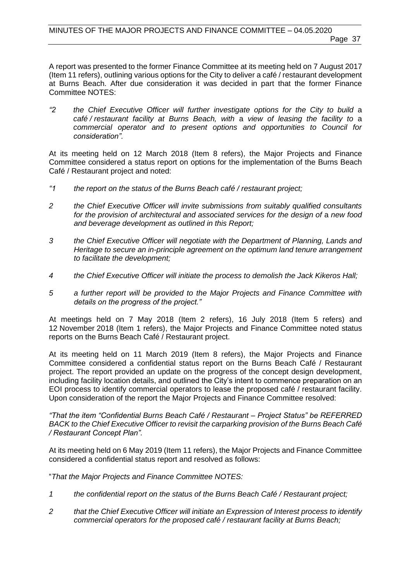A report was presented to the former Finance Committee at its meeting held on 7 August 2017 (Item 11 refers), outlining various options for the City to deliver a café / restaurant development at Burns Beach. After due consideration it was decided in part that the former Finance Committee NOTES:

*"2 the Chief Executive Officer will further investigate options for the City to build* a *café / restaurant facility at Burns Beach, with* a *view of leasing the facility to* a *commercial operator and to present options and opportunities to Council for consideration".*

At its meeting held on 12 March 2018 (Item 8 refers), the Major Projects and Finance Committee considered a status report on options for the implementation of the Burns Beach Café / Restaurant project and noted:

- *"1 the report on the status of the Burns Beach café / restaurant project;*
- *2 the Chief Executive Officer will invite submissions from suitably qualified consultants*  for the provision of architectural and associated services for the design of a new food *and beverage development as outlined in this Report;*
- *3 the Chief Executive Officer will negotiate with the Department of Planning, Lands and Heritage to secure an in-principle agreement on the optimum land tenure arrangement to facilitate the development;*
- *4 the Chief Executive Officer will initiate the process to demolish the Jack Kikeros Hall;*
- *5 a further report will be provided to the Major Projects and Finance Committee with details on the progress of the project."*

At meetings held on 7 May 2018 (Item 2 refers), 16 July 2018 (Item 5 refers) and 12 November 2018 (Item 1 refers), the Major Projects and Finance Committee noted status reports on the Burns Beach Café / Restaurant project.

At its meeting held on 11 March 2019 (Item 8 refers), the Major Projects and Finance Committee considered a confidential status report on the Burns Beach Café / Restaurant project. The report provided an update on the progress of the concept design development, including facility location details, and outlined the City's intent to commence preparation on an EOI process to identify commercial operators to lease the proposed café / restaurant facility. Upon consideration of the report the Major Projects and Finance Committee resolved:

*"That the item "Confidential Burns Beach Café / Restaurant – Project Status" be REFERRED BACK to the Chief Executive Officer to revisit the carparking provision of the Burns Beach Café / Restaurant Concept Plan".*

At its meeting held on 6 May 2019 (Item 11 refers), the Major Projects and Finance Committee considered a confidential status report and resolved as follows:

"*That the Major Projects and Finance Committee NOTES:*

- *1 the confidential report on the status of the Burns Beach Café / Restaurant project;*
- *2 that the Chief Executive Officer will initiate an Expression of Interest process to identify commercial operators for the proposed café / restaurant facility at Burns Beach;*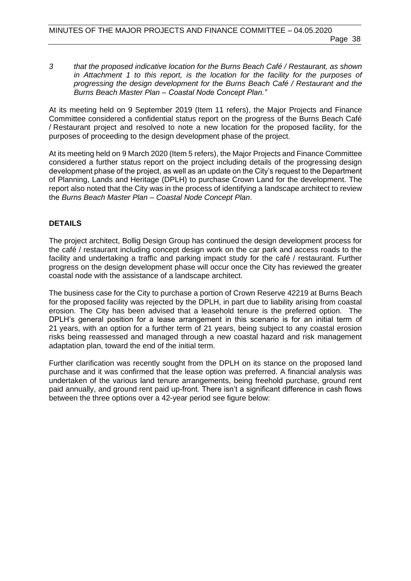*3 that the proposed indicative location for the Burns Beach Café / Restaurant, as shown in Attachment 1 to this report, is the location for the facility for the purposes of progressing the design development for the Burns Beach Café / Restaurant and the Burns Beach Master Plan – Coastal Node Concept Plan."* 

At its meeting held on 9 September 2019 (Item 11 refers), the Major Projects and Finance Committee considered a confidential status report on the progress of the Burns Beach Café / Restaurant project and resolved to note a new location for the proposed facility, for the purposes of proceeding to the design development phase of the project.

At its meeting held on 9 March 2020 (Item 5 refers), the Major Projects and Finance Committee considered a further status report on the project including details of the progressing design development phase of the project, as well as an update on the City's request to the Department of Planning, Lands and Heritage (DPLH) to purchase Crown Land for the development. The report also noted that the City was in the process of identifying a landscape architect to review the *Burns Beach Master Plan – Coastal Node Concept Plan*.

### **DETAILS**

The project architect, Bollig Design Group has continued the design development process for the café / restaurant including concept design work on the car park and access roads to the facility and undertaking a traffic and parking impact study for the café / restaurant. Further progress on the design development phase will occur once the City has reviewed the greater coastal node with the assistance of a landscape architect.

The business case for the City to purchase a portion of Crown Reserve 42219 at Burns Beach for the proposed facility was rejected by the DPLH, in part due to liability arising from coastal erosion. The City has been advised that a leasehold tenure is the preferred option. The DPLH's general position for a lease arrangement in this scenario is for an initial term of 21 years, with an option for a further term of 21 years, being subject to any coastal erosion risks being reassessed and managed through a new coastal hazard and risk management adaptation plan, toward the end of the initial term.

Further clarification was recently sought from the DPLH on its stance on the proposed land purchase and it was confirmed that the lease option was preferred. A financial analysis was undertaken of the various land tenure arrangements, being freehold purchase, ground rent paid annually, and ground rent paid up-front. There isn't a significant difference in cash flows between the three options over a 42-year period see figure below: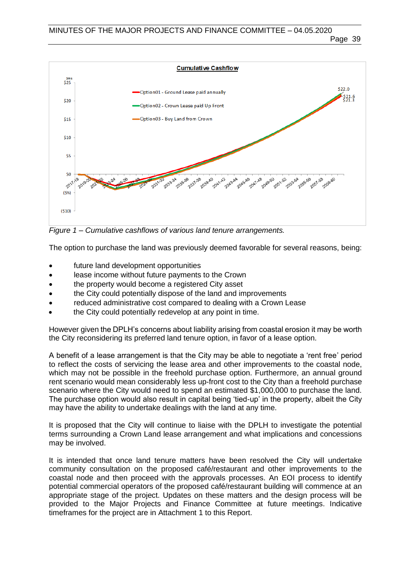

*Figure 1 – Cumulative cashflows of various land tenure arrangements.*

The option to purchase the land was previously deemed favorable for several reasons, being:

- future land development opportunities
- lease income without future payments to the Crown
- the property would become a registered City asset
- the City could potentially dispose of the land and improvements
- reduced administrative cost compared to dealing with a Crown Lease
- the City could potentially redevelop at any point in time.

However given the DPLH's concerns about liability arising from coastal erosion it may be worth the City reconsidering its preferred land tenure option, in favor of a lease option.

A benefit of a lease arrangement is that the City may be able to negotiate a 'rent free' period to reflect the costs of servicing the lease area and other improvements to the coastal node, which may not be possible in the freehold purchase option. Furthermore, an annual ground rent scenario would mean considerably less up-front cost to the City than a freehold purchase scenario where the City would need to spend an estimated \$1,000,000 to purchase the land. The purchase option would also result in capital being 'tied-up' in the property, albeit the City may have the ability to undertake dealings with the land at any time.

It is proposed that the City will continue to liaise with the DPLH to investigate the potential terms surrounding a Crown Land lease arrangement and what implications and concessions may be involved.

It is intended that once land tenure matters have been resolved the City will undertake community consultation on the proposed café/restaurant and other improvements to the coastal node and then proceed with the approvals processes. An EOI process to identify potential commercial operators of the proposed café/restaurant building will commence at an appropriate stage of the project. Updates on these matters and the design process will be provided to the Major Projects and Finance Committee at future meetings. Indicative timeframes for the project are in Attachment 1 to this Report.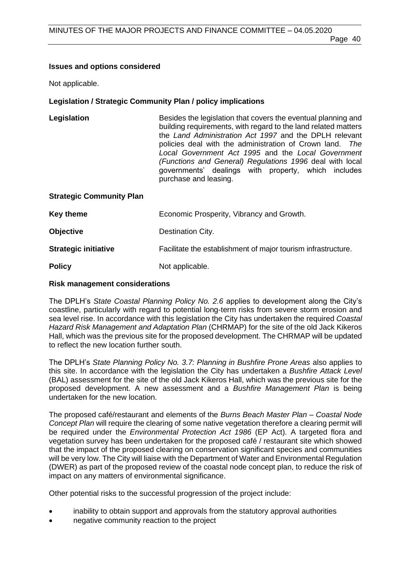# **Issues and options considered**

Not applicable.

# **Legislation / Strategic Community Plan / policy implications**

| Legislation                     | Besides the legislation that covers the eventual planning and<br>building requirements, with regard to the land related matters<br>the Land Administration Act 1997 and the DPLH relevant<br>policies deal with the administration of Crown land. The<br>Local Government Act 1995 and the Local Government<br>(Functions and General) Regulations 1996 deal with local<br>governments' dealings with property, which includes<br>purchase and leasing. |  |
|---------------------------------|---------------------------------------------------------------------------------------------------------------------------------------------------------------------------------------------------------------------------------------------------------------------------------------------------------------------------------------------------------------------------------------------------------------------------------------------------------|--|
| <b>Strategic Community Plan</b> |                                                                                                                                                                                                                                                                                                                                                                                                                                                         |  |
| <b>Key theme</b>                | Economic Prosperity, Vibrancy and Growth.                                                                                                                                                                                                                                                                                                                                                                                                               |  |

**Strategic initiative** Facilitate the establishment of major tourism infrastructure.

**Policy** Not applicable.

# **Risk management considerations**

The DPLH's *State Coastal Planning Policy No. 2.6* applies to development along the City's coastline, particularly with regard to potential long-term risks from severe storm erosion and sea level rise. In accordance with this legislation the City has undertaken the required *Coastal Hazard Risk Management and Adaptation Plan* (CHRMAP) for the site of the old Jack Kikeros Hall, which was the previous site for the proposed development. The CHRMAP will be updated to reflect the new location further south.

The DPLH's *State Planning Policy No. 3.7: Planning in Bushfire Prone Areas* also applies to this site. In accordance with the legislation the City has undertaken a *Bushfire Attack Level* (BAL) assessment for the site of the old Jack Kikeros Hall, which was the previous site for the proposed development. A new assessment and a *Bushfire Management Plan* is being undertaken for the new location.

The proposed café/restaurant and elements of the *Burns Beach Master Plan – Coastal Node Concept Plan* will require the clearing of some native vegetation therefore a clearing permit will be required under the *Environmental Protection Act 1986* (EP Act). A targeted flora and vegetation survey has been undertaken for the proposed café / restaurant site which showed that the impact of the proposed clearing on conservation significant species and communities will be very low. The City will liaise with the Department of Water and Environmental Regulation (DWER) as part of the proposed review of the coastal node concept plan, to reduce the risk of impact on any matters of environmental significance.

Other potential risks to the successful progression of the project include:

- inability to obtain support and approvals from the statutory approval authorities
- negative community reaction to the project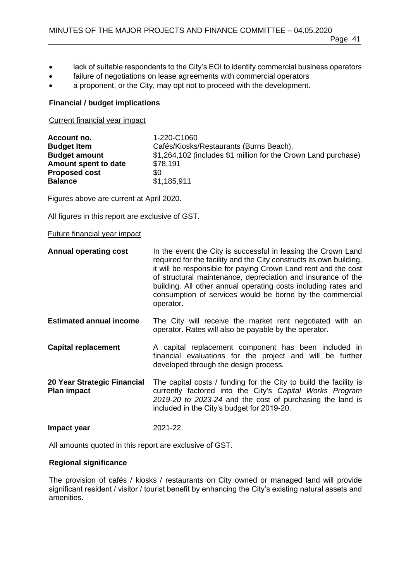Page 41

- lack of suitable respondents to the City's EOI to identify commercial business operators
- failure of negotiations on lease agreements with commercial operators
- a proponent, or the City, may opt not to proceed with the development.

#### **Financial / budget implications**

Current financial year impact

| Account no.          | 1-220-C1060                                                    |
|----------------------|----------------------------------------------------------------|
| <b>Budget Item</b>   | Cafés/Kiosks/Restaurants (Burns Beach).                        |
| <b>Budget amount</b> | \$1,264,102 (includes \$1 million for the Crown Land purchase) |
| Amount spent to date | \$78,191                                                       |
| <b>Proposed cost</b> | \$0                                                            |
| <b>Balance</b>       | \$1,185,911                                                    |

Figures above are current at April 2020.

All figures in this report are exclusive of GST.

#### Future financial year impact

| <b>Annual operating cost</b>                      | In the event the City is successful in leasing the Crown Land<br>required for the facility and the City constructs its own building,<br>it will be responsible for paying Crown Land rent and the cost<br>of structural maintenance, depreciation and insurance of the<br>building. All other annual operating costs including rates and<br>consumption of services would be borne by the commercial<br>operator. |
|---------------------------------------------------|-------------------------------------------------------------------------------------------------------------------------------------------------------------------------------------------------------------------------------------------------------------------------------------------------------------------------------------------------------------------------------------------------------------------|
| <b>Estimated annual income</b>                    | The City will receive the market rent negotiated with an<br>operator. Rates will also be payable by the operator.                                                                                                                                                                                                                                                                                                 |
| <b>Capital replacement</b>                        | A capital replacement component has been included in<br>financial evaluations for the project and will be further<br>developed through the design process.                                                                                                                                                                                                                                                        |
| 20 Year Strategic Financial<br><b>Plan impact</b> | The capital costs / funding for the City to build the facility is<br>currently factored into the City's Capital Works Program<br>2019-20 to 2023-24 and the cost of purchasing the land is<br>included in the City's budget for 2019-20.                                                                                                                                                                          |
| Impact year                                       | 2021-22.                                                                                                                                                                                                                                                                                                                                                                                                          |

All amounts quoted in this report are exclusive of GST.

#### **Regional significance**

The provision of cafés / kiosks / restaurants on City owned or managed land will provide significant resident / visitor / tourist benefit by enhancing the City's existing natural assets and amenities.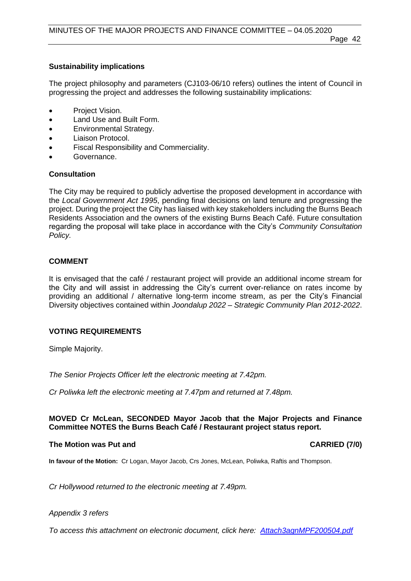# **Sustainability implications**

The project philosophy and parameters (CJ103-06/10 refers) outlines the intent of Council in progressing the project and addresses the following sustainability implications:

- Project Vision.
- Land Use and Built Form.
- Environmental Strategy.
- Liaison Protocol.
- Fiscal Responsibility and Commerciality.
- Governance.

#### **Consultation**

The City may be required to publicly advertise the proposed development in accordance with the *Local Government Act 1995*, pending final decisions on land tenure and progressing the project. During the project the City has liaised with key stakeholders including the Burns Beach Residents Association and the owners of the existing Burns Beach Café. Future consultation regarding the proposal will take place in accordance with the City's *Community Consultation Policy.*

### **COMMENT**

It is envisaged that the café / restaurant project will provide an additional income stream for the City and will assist in addressing the City's current over-reliance on rates income by providing an additional / alternative long-term income stream, as per the City's Financial Diversity objectives contained within *Joondalup 2022 – Strategic Community Plan 2012-2022*.

#### **VOTING REQUIREMENTS**

Simple Majority.

*The Senior Projects Officer left the electronic meeting at 7.42pm.*

*Cr Poliwka left the electronic meeting at 7.47pm and returned at 7.48pm.*

#### **MOVED Cr McLean, SECONDED Mayor Jacob that the Major Projects and Finance Committee NOTES the Burns Beach Café / Restaurant project status report.**

#### **The Motion was Put and CARRIED (7/0)**

**In favour of the Motion:** Cr Logan, Mayor Jacob, Crs Jones, McLean, Poliwka, Raftis and Thompson.

*Cr Hollywood returned to the electronic meeting at 7.49pm.*

#### *Appendix 3 refers*

*To access this attachment on electronic document, click here: [Attach3agnMPF200504.pdf](http://www.joondalup.wa.gov.au/files/committees/MPFI/2020/Attach3agnMPF200504.pdf)*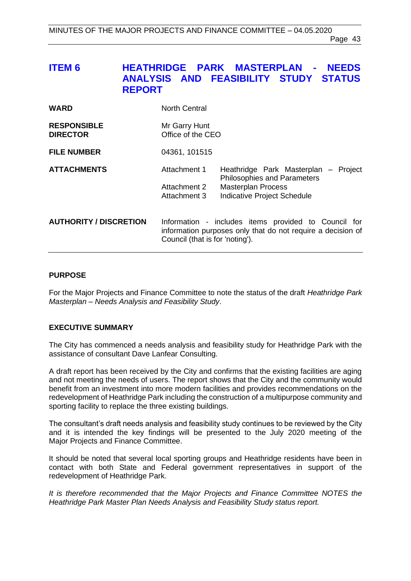# <span id="page-42-0"></span>**ITEM 6 HEATHRIDGE PARK MASTERPLAN - NEEDS ANALYSIS AND FEASIBILITY STUDY STATUS REPORT**

| <b>WARD</b>                           | <b>North Central</b>               |                                                                                                                     |
|---------------------------------------|------------------------------------|---------------------------------------------------------------------------------------------------------------------|
| <b>RESPONSIBLE</b><br><b>DIRECTOR</b> | Mr Garry Hunt<br>Office of the CEO |                                                                                                                     |
| <b>FILE NUMBER</b>                    | 04361, 101515                      |                                                                                                                     |
| <b>ATTACHMENTS</b>                    | Attachment 1                       | Heathridge Park Masterplan -<br>Project<br><b>Philosophies and Parameters</b>                                       |
|                                       | Attachment 2<br>Attachment 3       | <b>Masterplan Process</b><br>Indicative Project Schedule                                                            |
| <b>AUTHORITY / DISCRETION</b>         | Council (that is for 'noting').    | Information - includes items provided to Council for<br>information purposes only that do not require a decision of |

#### **PURPOSE**

For the Major Projects and Finance Committee to note the status of the draft *Heathridge Park Masterplan – Needs Analysis and Feasibility Study*.

#### **EXECUTIVE SUMMARY**

The City has commenced a needs analysis and feasibility study for Heathridge Park with the assistance of consultant Dave Lanfear Consulting.

A draft report has been received by the City and confirms that the existing facilities are aging and not meeting the needs of users. The report shows that the City and the community would benefit from an investment into more modern facilities and provides recommendations on the redevelopment of Heathridge Park including the construction of a multipurpose community and sporting facility to replace the three existing buildings.

The consultant's draft needs analysis and feasibility study continues to be reviewed by the City and it is intended the key findings will be presented to the July 2020 meeting of the Major Projects and Finance Committee.

It should be noted that several local sporting groups and Heathridge residents have been in contact with both State and Federal government representatives in support of the redevelopment of Heathridge Park.

*It is therefore recommended that the Major Projects and Finance Committee NOTES the Heathridge Park Master Plan Needs Analysis and Feasibility Study status report.*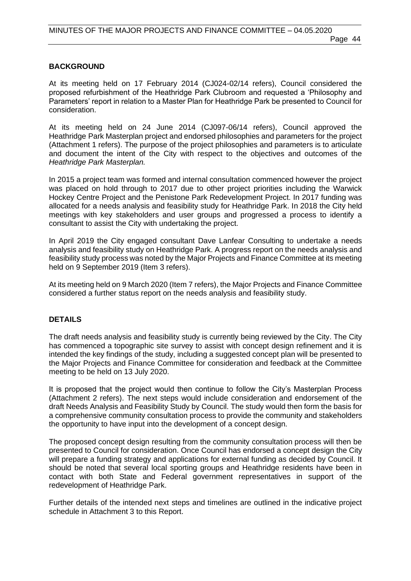# **BACKGROUND**

At its meeting held on 17 February 2014 (CJ024-02/14 refers), Council considered the proposed refurbishment of the Heathridge Park Clubroom and requested a 'Philosophy and Parameters' report in relation to a Master Plan for Heathridge Park be presented to Council for consideration.

At its meeting held on 24 June 2014 (CJ097-06/14 refers), Council approved the Heathridge Park Masterplan project and endorsed philosophies and parameters for the project (Attachment 1 refers). The purpose of the project philosophies and parameters is to articulate and document the intent of the City with respect to the objectives and outcomes of the *Heathridge Park Masterplan.*

In 2015 a project team was formed and internal consultation commenced however the project was placed on hold through to 2017 due to other project priorities including the Warwick Hockey Centre Project and the Penistone Park Redevelopment Project. In 2017 funding was allocated for a needs analysis and feasibility study for Heathridge Park. In 2018 the City held meetings with key stakeholders and user groups and progressed a process to identify a consultant to assist the City with undertaking the project.

In April 2019 the City engaged consultant Dave Lanfear Consulting to undertake a needs analysis and feasibility study on Heathridge Park. A progress report on the needs analysis and feasibility study process was noted by the Major Projects and Finance Committee at its meeting held on 9 September 2019 (Item 3 refers).

At its meeting held on 9 March 2020 (Item 7 refers), the Major Projects and Finance Committee considered a further status report on the needs analysis and feasibility study.

#### **DETAILS**

The draft needs analysis and feasibility study is currently being reviewed by the City. The City has commenced a topographic site survey to assist with concept design refinement and it is intended the key findings of the study, including a suggested concept plan will be presented to the Major Projects and Finance Committee for consideration and feedback at the Committee meeting to be held on 13 July 2020.

It is proposed that the project would then continue to follow the City's Masterplan Process (Attachment 2 refers). The next steps would include consideration and endorsement of the draft Needs Analysis and Feasibility Study by Council. The study would then form the basis for a comprehensive community consultation process to provide the community and stakeholders the opportunity to have input into the development of a concept design.

The proposed concept design resulting from the community consultation process will then be presented to Council for consideration. Once Council has endorsed a concept design the City will prepare a funding strategy and applications for external funding as decided by Council. It should be noted that several local sporting groups and Heathridge residents have been in contact with both State and Federal government representatives in support of the redevelopment of Heathridge Park.

Further details of the intended next steps and timelines are outlined in the indicative project schedule in Attachment 3 to this Report.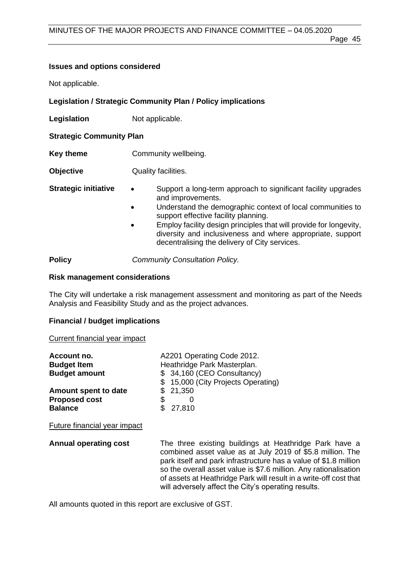### Page 45

#### **Issues and options considered**

Not applicable.

#### **Legislation / Strategic Community Plan / Policy implications**

**Legislation** Not applicable.

#### **Strategic Community Plan**

- **Key theme Community wellbeing.**
- **Objective** Quality facilities.
- **Strategic initiative •** Support a long-term approach to significant facility upgrades and improvements.
	- Understand the demographic context of local communities to support effective facility planning.
	- Employ facility design principles that will provide for longevity, diversity and inclusiveness and where appropriate, support decentralising the delivery of City services.

**Policy** *Community Consultation Policy.*

#### **Risk management considerations**

The City will undertake a risk management assessment and monitoring as part of the Needs Analysis and Feasibility Study and as the project advances.

#### **Financial / budget implications**

#### Current financial year impact

| Account no.                  |                             | A2201 Operating Code 2012.          |  |
|------------------------------|-----------------------------|-------------------------------------|--|
| <b>Budget Item</b>           | Heathridge Park Masterplan. |                                     |  |
| <b>Budget amount</b>         |                             | \$ 34,160 (CEO Consultancy)         |  |
|                              |                             | \$ 15,000 (City Projects Operating) |  |
| Amount spent to date         |                             | \$21,350                            |  |
| <b>Proposed cost</b>         | S                           |                                     |  |
| <b>Balance</b>               |                             | 27,810                              |  |
| Future financial year impact |                             |                                     |  |

**Annual operating cost** The three existing buildings at Heathridge Park have a combined asset value as at July 2019 of \$5.8 million. The park itself and park infrastructure has a value of \$1.8 million so the overall asset value is \$7.6 million. Any rationalisation of assets at Heathridge Park will result in a write-off cost that will adversely affect the City's operating results.

All amounts quoted in this report are exclusive of GST.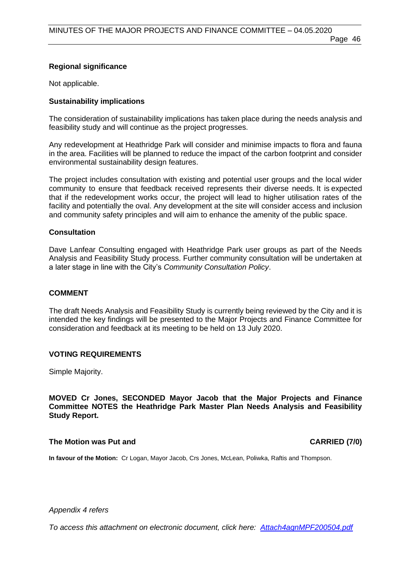# **Regional significance**

Not applicable.

# **Sustainability implications**

The consideration of sustainability implications has taken place during the needs analysis and feasibility study and will continue as the project progresses.

Any redevelopment at Heathridge Park will consider and minimise impacts to flora and fauna in the area. Facilities will be planned to reduce the impact of the carbon footprint and consider environmental sustainability design features.

The project includes consultation with existing and potential user groups and the local wider community to ensure that feedback received represents their diverse needs. It is expected that if the redevelopment works occur, the project will lead to higher utilisation rates of the facility and potentially the oval. Any development at the site will consider access and inclusion and community safety principles and will aim to enhance the amenity of the public space.

#### **Consultation**

Dave Lanfear Consulting engaged with Heathridge Park user groups as part of the Needs Analysis and Feasibility Study process. Further community consultation will be undertaken at a later stage in line with the City's *Community Consultation Policy*.

#### **COMMENT**

The draft Needs Analysis and Feasibility Study is currently being reviewed by the City and it is intended the key findings will be presented to the Major Projects and Finance Committee for consideration and feedback at its meeting to be held on 13 July 2020.

#### **VOTING REQUIREMENTS**

Simple Majority.

**MOVED Cr Jones, SECONDED Mayor Jacob that the Major Projects and Finance Committee NOTES the Heathridge Park Master Plan Needs Analysis and Feasibility Study Report.**

#### **The Motion was Put and CARRIED (7/0) CARRIED (7/0)**

**In favour of the Motion:** Cr Logan, Mayor Jacob, Crs Jones, McLean, Poliwka, Raftis and Thompson.

*Appendix 4 refers*

*To access this attachment on electronic document, click here[: Attach4agnMPF200504.pdf](http://www.joondalup.wa.gov.au/files/committees/MPFI/2020/Attach4agnMPF200504.pdf)*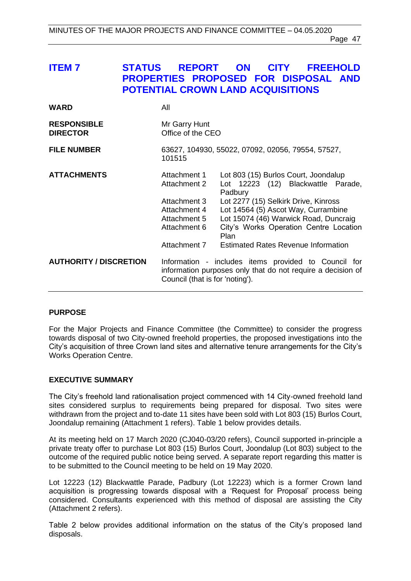# <span id="page-46-0"></span>**ITEM 7 STATUS REPORT ON CITY FREEHOLD PROPERTIES PROPOSED FOR DISPOSAL AND POTENTIAL CROWN LAND ACQUISITIONS**

| <b>WARD</b>                           | All                                                                                                          |                                                                                                                                                                                                                                                                                                               |
|---------------------------------------|--------------------------------------------------------------------------------------------------------------|---------------------------------------------------------------------------------------------------------------------------------------------------------------------------------------------------------------------------------------------------------------------------------------------------------------|
| <b>RESPONSIBLE</b><br><b>DIRECTOR</b> | Mr Garry Hunt<br>Office of the CEO                                                                           |                                                                                                                                                                                                                                                                                                               |
| <b>FILE NUMBER</b>                    | 63627, 104930, 55022, 07092, 02056, 79554, 57527,<br>101515                                                  |                                                                                                                                                                                                                                                                                                               |
| <b>ATTACHMENTS</b>                    | Attachment 1<br>Attachment 2<br>Attachment 3<br>Attachment 4<br>Attachment 5<br>Attachment 6<br>Attachment 7 | Lot 803 (15) Burlos Court, Joondalup<br>Lot 12223 (12) Blackwattle Parade,<br>Padbury<br>Lot 2277 (15) Selkirk Drive, Kinross<br>Lot 14564 (5) Ascot Way, Currambine<br>Lot 15074 (46) Warwick Road, Duncraig<br>City's Works Operation Centre Location<br>Plan<br><b>Estimated Rates Revenue Information</b> |
| <b>AUTHORITY / DISCRETION</b>         | Council (that is for 'noting').                                                                              | Information - includes items provided to Council for<br>information purposes only that do not require a decision of                                                                                                                                                                                           |

#### **PURPOSE**

For the Major Projects and Finance Committee (the Committee) to consider the progress towards disposal of two City-owned freehold properties, the proposed investigations into the City's acquisition of three Crown land sites and alternative tenure arrangements for the City's Works Operation Centre.

#### **EXECUTIVE SUMMARY**

The City's freehold land rationalisation project commenced with 14 City-owned freehold land sites considered surplus to requirements being prepared for disposal. Two sites were withdrawn from the project and to-date 11 sites have been sold with Lot 803 (15) Burlos Court, Joondalup remaining (Attachment 1 refers). Table 1 below provides details.

At its meeting held on 17 March 2020 (CJ040-03/20 refers), Council supported in-principle a private treaty offer to purchase Lot 803 (15) Burlos Court, Joondalup (Lot 803) subject to the outcome of the required public notice being served. A separate report regarding this matter is to be submitted to the Council meeting to be held on 19 May 2020.

Lot 12223 (12) Blackwattle Parade, Padbury (Lot 12223) which is a former Crown land acquisition is progressing towards disposal with a 'Request for Proposal' process being considered. Consultants experienced with this method of disposal are assisting the City (Attachment 2 refers).

Table 2 below provides additional information on the status of the City's proposed land disposals.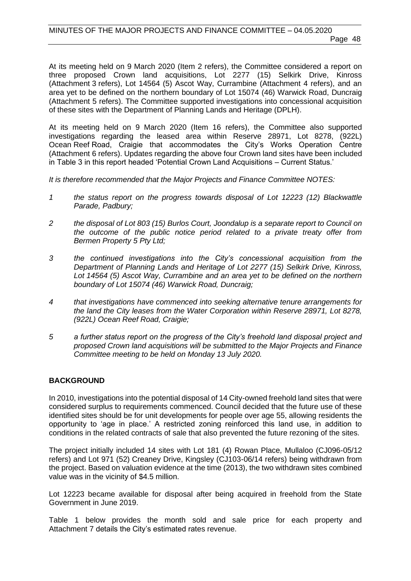At its meeting held on 9 March 2020 (Item 2 refers), the Committee considered a report on three proposed Crown land acquisitions, Lot 2277 (15) Selkirk Drive, Kinross (Attachment 3 refers), Lot 14564 (5) Ascot Way, Currambine (Attachment 4 refers), and an area yet to be defined on the northern boundary of Lot 15074 (46) Warwick Road, Duncraig (Attachment 5 refers). The Committee supported investigations into concessional acquisition of these sites with the Department of Planning Lands and Heritage (DPLH).

At its meeting held on 9 March 2020 (Item 16 refers), the Committee also supported investigations regarding the leased area within Reserve 28971, Lot 8278, (922L) Ocean Reef Road, Craigie that accommodates the City's Works Operation Centre (Attachment 6 refers). Updates regarding the above four Crown land sites have been included in Table 3 in this report headed 'Potential Crown Land Acquisitions – Current Status.'

*It is therefore recommended that the Major Projects and Finance Committee NOTES:*

- *1 the status report on the progress towards disposal of Lot 12223 (12) Blackwattle Parade, Padbury;*
- *2 the disposal of Lot 803 (15) Burlos Court, Joondalup is a separate report to Council on the outcome of the public notice period related to a private treaty offer from Bermen Property 5 Pty Ltd;*
- *3 the continued investigations into the City's concessional acquisition from the Department of Planning Lands and Heritage of Lot 2277 (15) Selkirk Drive, Kinross, Lot 14564 (5) Ascot Way, Currambine and an area yet to be defined on the northern boundary of Lot 15074 (46) Warwick Road, Duncraig;*
- *4 that investigations have commenced into seeking alternative tenure arrangements for the land the City leases from the Water Corporation within Reserve 28971, Lot 8278, (922L) Ocean Reef Road, Craigie;*
- *5 a further status report on the progress of the City's freehold land disposal project and proposed Crown land acquisitions will be submitted to the Major Projects and Finance Committee meeting to be held on Monday 13 July 2020.*

#### **BACKGROUND**

In 2010, investigations into the potential disposal of 14 City-owned freehold land sites that were considered surplus to requirements commenced. Council decided that the future use of these identified sites should be for unit developments for people over age 55, allowing residents the opportunity to 'age in place.' A restricted zoning reinforced this land use, in addition to conditions in the related contracts of sale that also prevented the future rezoning of the sites.

The project initially included 14 sites with Lot 181 (4) Rowan Place, Mullaloo (CJ096-05/12 refers) and Lot 971 (52) Creaney Drive, Kingsley (CJ103-06/14 refers) being withdrawn from the project. Based on valuation evidence at the time (2013), the two withdrawn sites combined value was in the vicinity of \$4.5 million.

Lot 12223 became available for disposal after being acquired in freehold from the State Government in June 2019.

Table 1 below provides the month sold and sale price for each property and Attachment 7 details the City's estimated rates revenue.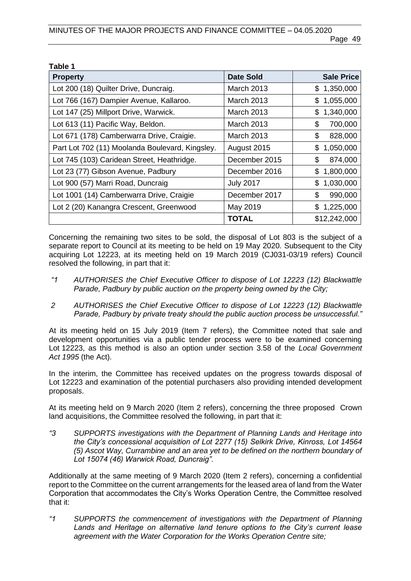| Table 1                                         |                   |                   |
|-------------------------------------------------|-------------------|-------------------|
| <b>Property</b>                                 | <b>Date Sold</b>  | <b>Sale Price</b> |
| Lot 200 (18) Quilter Drive, Duncraig.           | <b>March 2013</b> | \$1,350,000       |
| Lot 766 (167) Dampier Avenue, Kallaroo.         | <b>March 2013</b> | 1,055,000<br>\$   |
| Lot 147 (25) Millport Drive, Warwick.           | <b>March 2013</b> | 1,340,000<br>\$   |
| Lot 613 (11) Pacific Way, Beldon.               | <b>March 2013</b> | \$<br>700,000     |
| Lot 671 (178) Camberwarra Drive, Craigie.       | March 2013        | \$<br>828,000     |
| Part Lot 702 (11) Moolanda Boulevard, Kingsley. | August 2015       | \$<br>1,050,000   |
| Lot 745 (103) Caridean Street, Heathridge.      | December 2015     | \$<br>874,000     |
| Lot 23 (77) Gibson Avenue, Padbury              | December 2016     | \$<br>1,800,000   |
| Lot 900 (57) Marri Road, Duncraig               | <b>July 2017</b>  | 1,030,000<br>\$   |
| Lot 1001 (14) Camberwarra Drive, Craigie        | December 2017     | \$<br>990,000     |
| Lot 2 (20) Kanangra Crescent, Greenwood         | May 2019          | 1,225,000<br>\$   |
|                                                 | <b>TOTAL</b>      | \$12,242,000      |

Concerning the remaining two sites to be sold, the disposal of Lot 803 is the subject of a separate report to Council at its meeting to be held on 19 May 2020. Subsequent to the City acquiring Lot 12223, at its meeting held on 19 March 2019 (CJ031-03/19 refers) Council resolved the following, in part that it:

- *"1 AUTHORISES the Chief Executive Officer to dispose of Lot 12223 (12) Blackwattle Parade, Padbury by public auction on the property being owned by the City;*
- *2 AUTHORISES the Chief Executive Officer to dispose of Lot 12223 (12) Blackwattle Parade, Padbury by private treaty should the public auction process be unsuccessful."*

At its meeting held on 15 July 2019 (Item 7 refers), the Committee noted that sale and development opportunities via a public tender process were to be examined concerning Lot 12223, as this method is also an option under section 3.58 of the *Local Government Act 1995* (the Act).

In the interim, the Committee has received updates on the progress towards disposal of Lot 12223 and examination of the potential purchasers also providing intended development proposals.

At its meeting held on 9 March 2020 (Item 2 refers), concerning the three proposed Crown land acquisitions, the Committee resolved the following, in part that it:

*"3 SUPPORTS investigations with the Department of Planning Lands and Heritage into the City's concessional acquisition of Lot 2277 (15) Selkirk Drive, Kinross, Lot 14564 (5) Ascot Way, Currambine and an area yet to be defined on the northern boundary of Lot 15074 (46) Warwick Road, Duncraig".*

Additionally at the same meeting of 9 March 2020 (Item 2 refers), concerning a confidential report to the Committee on the current arrangements for the leased area of land from the Water Corporation that accommodates the City's Works Operation Centre, the Committee resolved that it:

*"1 SUPPORTS the commencement of investigations with the Department of Planning Lands and Heritage on alternative land tenure options to the City's current lease agreement with the Water Corporation for the Works Operation Centre site;*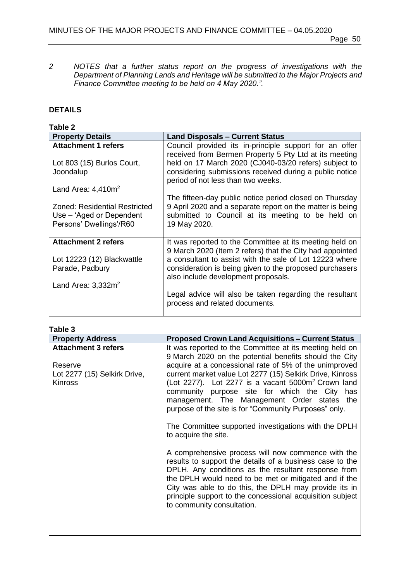*2 NOTES that a further status report on the progress of investigations with the Department of Planning Lands and Heritage will be submitted to the Major Projects and Finance Committee meeting to be held on 4 May 2020.".*

# **DETAILS**

| <b>Table 2</b>                                                                       |                                                                                                                                                                                           |
|--------------------------------------------------------------------------------------|-------------------------------------------------------------------------------------------------------------------------------------------------------------------------------------------|
| <b>Property Details</b>                                                              | <b>Land Disposals - Current Status</b>                                                                                                                                                    |
| <b>Attachment 1 refers</b>                                                           | Council provided its in-principle support for an offer<br>received from Bermen Property 5 Pty Ltd at its meeting                                                                          |
| Lot 803 (15) Burlos Court,<br>Joondalup                                              | held on 17 March 2020 (CJ040-03/20 refers) subject to<br>considering submissions received during a public notice<br>period of not less than two weeks.                                    |
| Land Area: $4,410m^2$                                                                |                                                                                                                                                                                           |
| Zoned: Residential Restricted<br>Use – 'Aged or Dependent<br>Persons' Dwellings'/R60 | The fifteen-day public notice period closed on Thursday<br>9 April 2020 and a separate report on the matter is being<br>submitted to Council at its meeting to be held on<br>19 May 2020. |
| <b>Attachment 2 refers</b>                                                           | It was reported to the Committee at its meeting held on<br>9 March 2020 (Item 2 refers) that the City had appointed                                                                       |
| Lot 12223 (12) Blackwattle<br>Parade, Padbury                                        | a consultant to assist with the sale of Lot 12223 where<br>consideration is being given to the proposed purchasers<br>also include development proposals.                                 |
| Land Area: $3,332m^2$                                                                |                                                                                                                                                                                           |
|                                                                                      | Legal advice will also be taken regarding the resultant<br>process and related documents.                                                                                                 |
|                                                                                      |                                                                                                                                                                                           |

| able |  |
|------|--|
|      |  |

| <b>Property Address</b>                                   | <b>Proposed Crown Land Acquisitions – Current Status</b>                                                                                                                                                                                                                                                                                                                                                              |
|-----------------------------------------------------------|-----------------------------------------------------------------------------------------------------------------------------------------------------------------------------------------------------------------------------------------------------------------------------------------------------------------------------------------------------------------------------------------------------------------------|
| <b>Attachment 3 refers</b>                                | It was reported to the Committee at its meeting held on<br>9 March 2020 on the potential benefits should the City                                                                                                                                                                                                                                                                                                     |
| Reserve<br>Lot 2277 (15) Selkirk Drive,<br><b>Kinross</b> | acquire at a concessional rate of 5% of the unimproved<br>current market value Lot 2277 (15) Selkirk Drive, Kinross<br>(Lot 2277). Lot 2277 is a vacant $5000m^2$ Crown land<br>community purpose site for which the City has<br>management. The Management Order states the<br>purpose of the site is for "Community Purposes" only.<br>The Committee supported investigations with the DPLH<br>to acquire the site. |
|                                                           | A comprehensive process will now commence with the<br>results to support the details of a business case to the<br>DPLH. Any conditions as the resultant response from<br>the DPLH would need to be met or mitigated and if the<br>City was able to do this, the DPLH may provide its in<br>principle support to the concessional acquisition subject<br>to community consultation.                                    |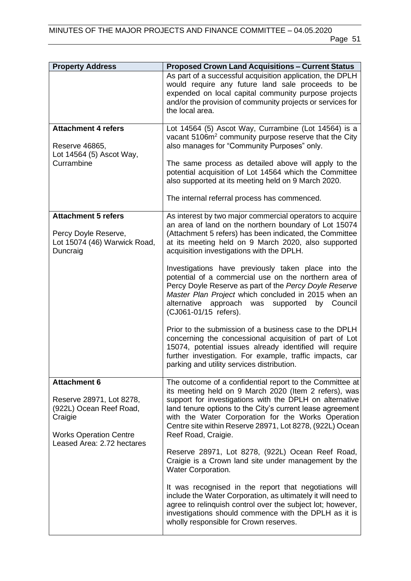| <b>Property Address</b>                                                                                                                              | <b>Proposed Crown Land Acquisitions - Current Status</b>                                                                                                                                                                                                                                                                                                                           |
|------------------------------------------------------------------------------------------------------------------------------------------------------|------------------------------------------------------------------------------------------------------------------------------------------------------------------------------------------------------------------------------------------------------------------------------------------------------------------------------------------------------------------------------------|
|                                                                                                                                                      | As part of a successful acquisition application, the DPLH<br>would require any future land sale proceeds to be<br>expended on local capital community purpose projects<br>and/or the provision of community projects or services for<br>the local area.                                                                                                                            |
| <b>Attachment 4 refers</b><br>Reserve 46865,<br>Lot 14564 (5) Ascot Way,<br>Currambine                                                               | Lot 14564 (5) Ascot Way, Currambine (Lot 14564) is a<br>vacant 5106m <sup>2</sup> community purpose reserve that the City<br>also manages for "Community Purposes" only.                                                                                                                                                                                                           |
|                                                                                                                                                      | The same process as detailed above will apply to the<br>potential acquisition of Lot 14564 which the Committee<br>also supported at its meeting held on 9 March 2020.                                                                                                                                                                                                              |
|                                                                                                                                                      | The internal referral process has commenced.                                                                                                                                                                                                                                                                                                                                       |
| <b>Attachment 5 refers</b>                                                                                                                           | As interest by two major commercial operators to acquire                                                                                                                                                                                                                                                                                                                           |
| Percy Doyle Reserve,<br>Lot 15074 (46) Warwick Road,<br>Duncraig                                                                                     | an area of land on the northern boundary of Lot 15074<br>(Attachment 5 refers) has been indicated, the Committee<br>at its meeting held on 9 March 2020, also supported<br>acquisition investigations with the DPLH.                                                                                                                                                               |
|                                                                                                                                                      | Investigations have previously taken place into the<br>potential of a commercial use on the northern area of<br>Percy Doyle Reserve as part of the Percy Doyle Reserve<br>Master Plan Project which concluded in 2015 when an<br>alternative approach<br>was<br>supported<br>by Council<br>(CJ061-01/15 refers).                                                                   |
|                                                                                                                                                      | Prior to the submission of a business case to the DPLH<br>concerning the concessional acquisition of part of Lot<br>15074, potential issues already identified will require<br>further investigation. For example, traffic impacts, car<br>parking and utility services distribution.                                                                                              |
| <b>Attachment 6</b><br>Reserve 28971, Lot 8278,<br>(922L) Ocean Reef Road,<br>Craigie<br><b>Works Operation Centre</b><br>Leased Area: 2.72 hectares | The outcome of a confidential report to the Committee at<br>its meeting held on 9 March 2020 (Item 2 refers), was<br>support for investigations with the DPLH on alternative<br>land tenure options to the City's current lease agreement<br>with the Water Corporation for the Works Operation<br>Centre site within Reserve 28971, Lot 8278, (922L) Ocean<br>Reef Road, Craigie. |
|                                                                                                                                                      | Reserve 28971, Lot 8278, (922L) Ocean Reef Road,<br>Craigie is a Crown land site under management by the<br><b>Water Corporation.</b>                                                                                                                                                                                                                                              |
|                                                                                                                                                      | It was recognised in the report that negotiations will<br>include the Water Corporation, as ultimately it will need to<br>agree to relinquish control over the subject lot; however,<br>investigations should commence with the DPLH as it is<br>wholly responsible for Crown reserves.                                                                                            |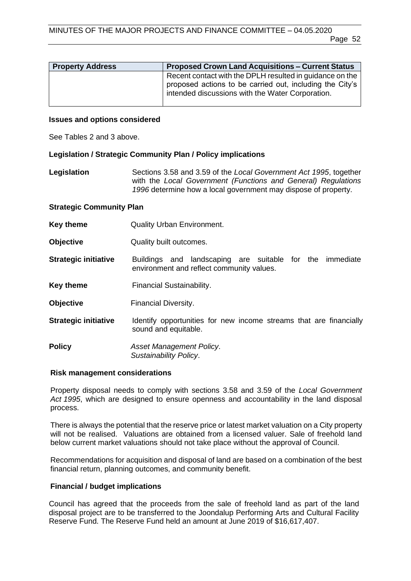| <b>Property Address</b> | <b>Proposed Crown Land Acquisitions - Current Status</b>                                                                                                                 |
|-------------------------|--------------------------------------------------------------------------------------------------------------------------------------------------------------------------|
|                         | Recent contact with the DPLH resulted in guidance on the<br>proposed actions to be carried out, including the City's<br>intended discussions with the Water Corporation. |

#### **Issues and options considered**

See Tables 2 and 3 above.

#### **Legislation / Strategic Community Plan / Policy implications**

**Legislation** Sections 3.58 and 3.59 of the *Local Government Act 1995*, together with the *Local Government (Functions and General) Regulations 1996* determine how a local government may dispose of property.

#### **Strategic Community Plan**

- **Key theme Quality Urban Environment.**
- **Objective** Quality built outcomes.
- **Strategic initiative** Buildings and landscaping are suitable for the immediate environment and reflect community values.
- **Key theme** Financial Sustainability.
- **Objective Financial Diversity.**
- **Strategic initiative** ldentify opportunities for new income streams that are financially sound and equitable.

**Policy** *Asset Management Policy*. *Sustainability Policy*.

#### **Risk management considerations**

Property disposal needs to comply with sections 3.58 and 3.59 of the *Local Government Act 1995*, which are designed to ensure openness and accountability in the land disposal process.

There is always the potential that the reserve price or latest market valuation on a City property will not be realised. Valuations are obtained from a licensed valuer. Sale of freehold land below current market valuations should not take place without the approval of Council.

Recommendations for acquisition and disposal of land are based on a combination of the best financial return, planning outcomes, and community benefit.

#### **Financial / budget implications**

Council has agreed that the proceeds from the sale of freehold land as part of the land disposal project are to be transferred to the Joondalup Performing Arts and Cultural Facility Reserve Fund. The Reserve Fund held an amount at June 2019 of \$16,617,407.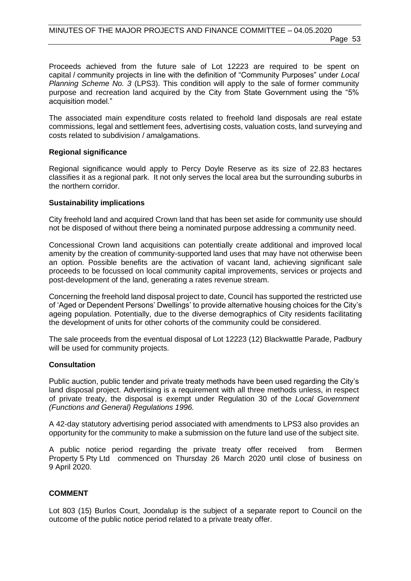Proceeds achieved from the future sale of Lot 12223 are required to be spent on capital / community projects in line with the definition of "Community Purposes" under *Local Planning Scheme No. 3* (LPS3). This condition will apply to the sale of former community purpose and recreation land acquired by the City from State Government using the "5% acquisition model."

The associated main expenditure costs related to freehold land disposals are real estate commissions, legal and settlement fees, advertising costs, valuation costs, land surveying and costs related to subdivision / amalgamations.

#### **Regional significance**

Regional significance would apply to Percy Doyle Reserve as its size of 22.83 hectares classifies it as a regional park. It not only serves the local area but the surrounding suburbs in the northern corridor.

#### **Sustainability implications**

City freehold land and acquired Crown land that has been set aside for community use should not be disposed of without there being a nominated purpose addressing a community need.

Concessional Crown land acquisitions can potentially create additional and improved local amenity by the creation of community-supported land uses that may have not otherwise been an option. Possible benefits are the activation of vacant land, achieving significant sale proceeds to be focussed on local community capital improvements, services or projects and post-development of the land, generating a rates revenue stream.

Concerning the freehold land disposal project to date, Council has supported the restricted use of 'Aged or Dependent Persons' Dwellings' to provide alternative housing choices for the City's ageing population. Potentially, due to the diverse demographics of City residents facilitating the development of units for other cohorts of the community could be considered.

The sale proceeds from the eventual disposal of Lot 12223 (12) Blackwattle Parade, Padbury will be used for community projects.

#### **Consultation**

Public auction, public tender and private treaty methods have been used regarding the City's land disposal project. Advertising is a requirement with all three methods unless, in respect of private treaty, the disposal is exempt under Regulation 30 of the *Local Government (Functions and General) Regulations 1996.*

A 42-day statutory advertising period associated with amendments to LPS3 also provides an opportunity for the community to make a submission on the future land use of the subject site.

A public notice period regarding the private treaty offer received from Bermen Property 5 Pty Ltd commenced on Thursday 26 March 2020 until close of business on 9 April 2020.

#### **COMMENT**

Lot 803 (15) Burlos Court, Joondalup is the subject of a separate report to Council on the outcome of the public notice period related to a private treaty offer.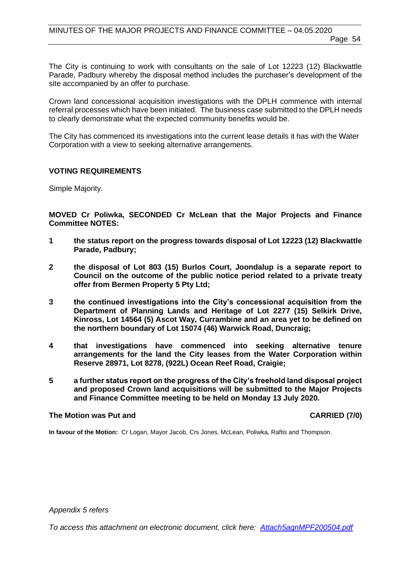The City is continuing to work with consultants on the sale of Lot 12223 (12) Blackwattle Parade, Padbury whereby the disposal method includes the purchaser's development of the site accompanied by an offer to purchase.

Crown land concessional acquisition investigations with the DPLH commence with internal referral processes which have been initiated. The business case submitted to the DPLH needs to clearly demonstrate what the expected community benefits would be.

The City has commenced its investigations into the current lease details it has with the Water Corporation with a view to seeking alternative arrangements.

#### **VOTING REQUIREMENTS**

Simple Majority.

**MOVED Cr Poliwka, SECONDED Cr McLean that the Major Projects and Finance Committee NOTES:**

- **1 the status report on the progress towards disposal of Lot 12223 (12) Blackwattle Parade, Padbury;**
- **2 the disposal of Lot 803 (15) Burlos Court, Joondalup is a separate report to Council on the outcome of the public notice period related to a private treaty offer from Bermen Property 5 Pty Ltd;**
- **3 the continued investigations into the City's concessional acquisition from the Department of Planning Lands and Heritage of Lot 2277 (15) Selkirk Drive, Kinross, Lot 14564 (5) Ascot Way, Currambine and an area yet to be defined on the northern boundary of Lot 15074 (46) Warwick Road, Duncraig;**
- **4 that investigations have commenced into seeking alternative tenure arrangements for the land the City leases from the Water Corporation within Reserve 28971, Lot 8278, (922L) Ocean Reef Road, Craigie;**
- **5 a further status report on the progress of the City's freehold land disposal project and proposed Crown land acquisitions will be submitted to the Major Projects and Finance Committee meeting to be held on Monday 13 July 2020.**

#### **The Motion was Put and CARRIED (7/0) CARRIED (7/0)**

**In favour of the Motion:** Cr Logan, Mayor Jacob, Crs Jones, McLean, Poliwka, Raftis and Thompson.

*Appendix 5 refers*

*To access this attachment on electronic document, click here[: Attach5agnMPF200504.pdf](http://www.joondalup.wa.gov.au/files/committees/MPFI/2020/Attach5agnMPF200504.pdf)*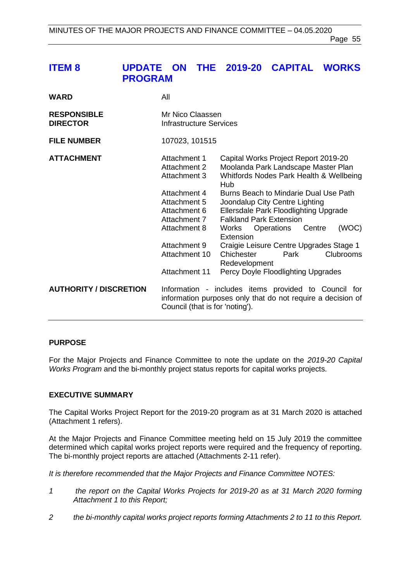# <span id="page-54-0"></span>**ITEM 8 UPDATE ON THE 2019-20 CAPITAL WORKS PROGRAM**

| <b>WARD</b>                           | All                                                          |                                                                                                                                                    |
|---------------------------------------|--------------------------------------------------------------|----------------------------------------------------------------------------------------------------------------------------------------------------|
| <b>RESPONSIBLE</b><br><b>DIRECTOR</b> | Mr Nico Claassen<br>Infrastructure Services                  |                                                                                                                                                    |
| <b>FILE NUMBER</b>                    | 107023, 101515                                               |                                                                                                                                                    |
| <b>ATTACHMENT</b>                     | Attachment 1<br>Attachment 2<br>Attachment 3                 | Capital Works Project Report 2019-20<br>Moolanda Park Landscape Master Plan<br>Whitfords Nodes Park Health & Wellbeing<br>Hub                      |
|                                       | Attachment 4<br>Attachment 5<br>Attachment 6<br>Attachment 7 | Burns Beach to Mindarie Dual Use Path<br>Joondalup City Centre Lighting<br>Ellersdale Park Floodlighting Upgrade<br><b>Falkland Park Extension</b> |
|                                       | Attachment 8                                                 | (WOC)<br>Works Operations Centre<br>Extension                                                                                                      |
|                                       | Attachment 9<br>Attachment 10                                | Craigie Leisure Centre Upgrades Stage 1<br>Chichester<br><b>Clubrooms</b><br>Park<br>Redevelopment                                                 |
|                                       | <b>Attachment 11</b>                                         | Percy Doyle Floodlighting Upgrades                                                                                                                 |
| <b>AUTHORITY / DISCRETION</b>         | Council (that is for 'noting').                              | Information - includes items provided to Council for<br>information purposes only that do not require a decision of                                |

#### **PURPOSE**

For the Major Projects and Finance Committee to note the update on the *2019-20 Capital Works Program* and the bi-monthly project status reports for capital works projects.

#### **EXECUTIVE SUMMARY**

The Capital Works Project Report for the 2019-20 program as at 31 March 2020 is attached (Attachment 1 refers).

At the Major Projects and Finance Committee meeting held on 15 July 2019 the committee determined which capital works project reports were required and the frequency of reporting. The bi-monthly project reports are attached (Attachments 2-11 refer).

*It is therefore recommended that the Major Projects and Finance Committee NOTES:*

- *1 the report on the Capital Works Projects for 2019-20 as at 31 March 2020 forming Attachment 1 to this Report;*
- *2 the bi-monthly capital works project reports forming Attachments 2 to 11 to this Report.*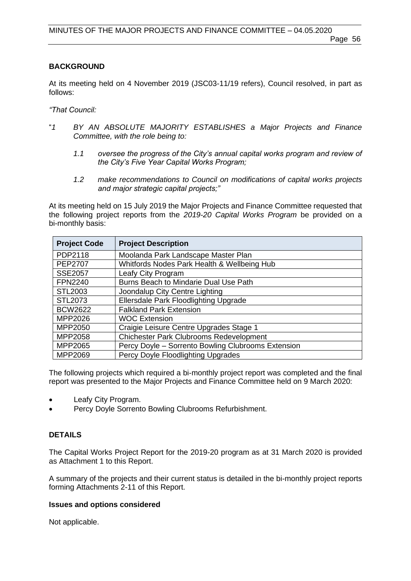# **BACKGROUND**

At its meeting held on 4 November 2019 (JSC03-11/19 refers), Council resolved, in part as follows:

*"That Council:*

- "*1 BY AN ABSOLUTE MAJORITY ESTABLISHES a Major Projects and Finance Committee, with the role being to:*
	- *1.1 oversee the progress of the City's annual capital works program and review of the City's Five Year Capital Works Program;*
	- *1.2 make recommendations to Council on modifications of capital works projects and major strategic capital projects;"*

At its meeting held on 15 July 2019 the Major Projects and Finance Committee requested that the following project reports from the *2019-20 Capital Works Program* be provided on a bi-monthly basis:

| <b>Project Code</b> | <b>Project Description</b>                         |
|---------------------|----------------------------------------------------|
| PDP2118             | Moolanda Park Landscape Master Plan                |
| <b>PEP2707</b>      | Whitfords Nodes Park Health & Wellbeing Hub        |
| <b>SSE2057</b>      | Leafy City Program                                 |
| <b>FPN2240</b>      | Burns Beach to Mindarie Dual Use Path              |
| STL2003             | Joondalup City Centre Lighting                     |
| STL2073             | Ellersdale Park Floodlighting Upgrade              |
| <b>BCW2622</b>      | <b>Falkland Park Extension</b>                     |
| MPP2026             | <b>WOC Extension</b>                               |
| MPP2050             | Craigie Leisure Centre Upgrades Stage 1            |
| MPP2058             | <b>Chichester Park Clubrooms Redevelopment</b>     |
| MPP2065             | Percy Doyle - Sorrento Bowling Clubrooms Extension |
| MPP2069             | Percy Doyle Floodlighting Upgrades                 |

The following projects which required a bi-monthly project report was completed and the final report was presented to the Major Projects and Finance Committee held on 9 March 2020:

- Leafy City Program.
- Percy Doyle Sorrento Bowling Clubrooms Refurbishment.

# **DETAILS**

The Capital Works Project Report for the 2019-20 program as at 31 March 2020 is provided as Attachment 1 to this Report.

A summary of the projects and their current status is detailed in the bi-monthly project reports forming Attachments 2-11 of this Report.

# **Issues and options considered**

Not applicable.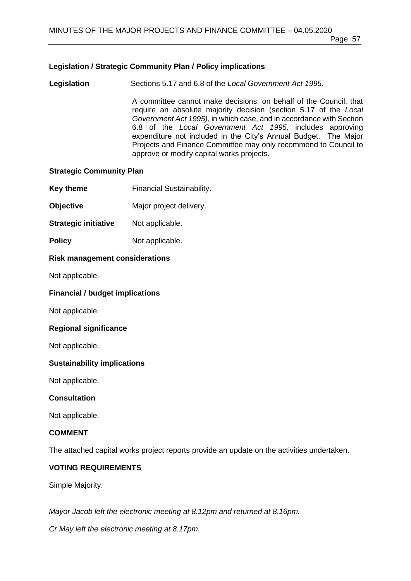# **Legislation / Strategic Community Plan / Policy implications**

**Legislation** Sections 5.17 and 6.8 of the *Local Government Act 1995.*

A committee cannot make decisions, on behalf of the Council, that require an absolute majority decision (section 5.17 of the *Local Government Act 1995)*, in which case, and in accordance with Section 6.8 of the *Local Government Act 1995,* includes approving expenditure not included in the City's Annual Budget. The Major Projects and Finance Committee may only recommend to Council to approve or modify capital works projects.

# **Strategic Community Plan**

- **Key theme** Financial Sustainability.
- **Objective** Major project delivery.
- **Strategic initiative** Not applicable.
- **Policy** Not applicable.

# **Risk management considerations**

Not applicable.

# **Financial / budget implications**

Not applicable.

# **Regional significance**

Not applicable.

# **Sustainability implications**

Not applicable.

# **Consultation**

Not applicable.

# **COMMENT**

The attached capital works project reports provide an update on the activities undertaken.

# **VOTING REQUIREMENTS**

Simple Majority.

*Mayor Jacob left the electronic meeting at 8.12pm and returned at 8.16pm.*

*Cr May left the electronic meeting at 8.17pm.*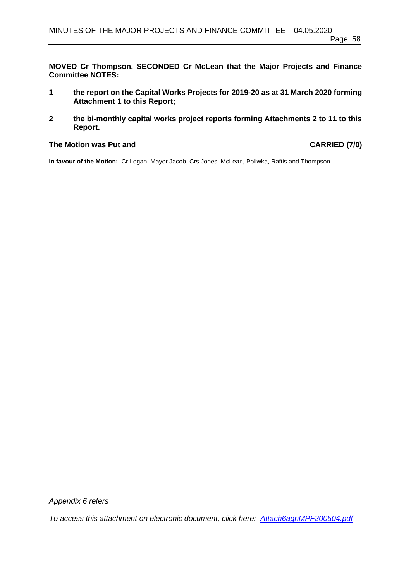**MOVED Cr Thompson, SECONDED Cr McLean that the Major Projects and Finance Committee NOTES:**

- **1 the report on the Capital Works Projects for 2019-20 as at 31 March 2020 forming Attachment 1 to this Report;**
- **2 the bi-monthly capital works project reports forming Attachments 2 to 11 to this Report.**

#### The Motion was Put and **CARRIED** (7/0)

**In favour of the Motion:** Cr Logan, Mayor Jacob, Crs Jones, McLean, Poliwka, Raftis and Thompson.

*Appendix 6 refers*

*To access this attachment on electronic document, click here: [Attach6agnMPF200504.pdf](http://www.joondalup.wa.gov.au/files/committees/MPFI/2020/Attach6agnMPF200504.pdf)*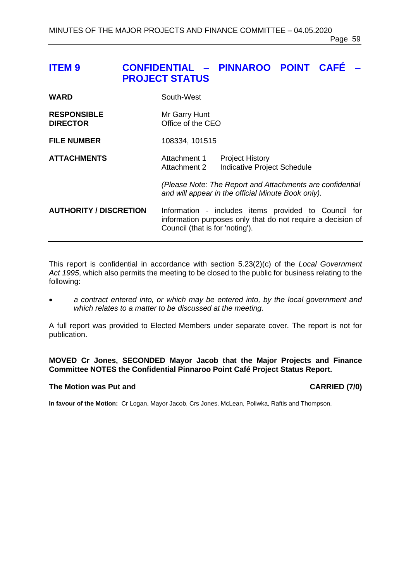# <span id="page-58-0"></span>**ITEM 9 CONFIDENTIAL – PINNAROO POINT CAFÉ – PROJECT STATUS**

| <b>WARD</b>                           | South-West                                                                                                                                             |  |
|---------------------------------------|--------------------------------------------------------------------------------------------------------------------------------------------------------|--|
| <b>RESPONSIBLE</b><br><b>DIRECTOR</b> | Mr Garry Hunt<br>Office of the CEO                                                                                                                     |  |
| <b>FILE NUMBER</b>                    | 108334, 101515                                                                                                                                         |  |
| <b>ATTACHMENTS</b>                    | Attachment 1<br><b>Project History</b><br>Indicative Project Schedule<br>Attachment 2                                                                  |  |
|                                       | (Please Note: The Report and Attachments are confidential<br>and will appear in the official Minute Book only).                                        |  |
| <b>AUTHORITY / DISCRETION</b>         | Information - includes items provided to Council for<br>information purposes only that do not require a decision of<br>Council (that is for 'noting'). |  |

This report is confidential in accordance with section 5.23(2)(c) of the *Local Government Act 1995*, which also permits the meeting to be closed to the public for business relating to the following:

• *a contract entered into, or which may be entered into, by the local government and which relates to a matter to be discussed at the meeting.*

A full report was provided to Elected Members under separate cover. The report is not for publication.

**MOVED Cr Jones, SECONDED Mayor Jacob that the Major Projects and Finance Committee NOTES the Confidential Pinnaroo Point Café Project Status Report.**

#### The Motion was Put and **CARRIED** (7/0)

**In favour of the Motion:** Cr Logan, Mayor Jacob, Crs Jones, McLean, Poliwka, Raftis and Thompson.